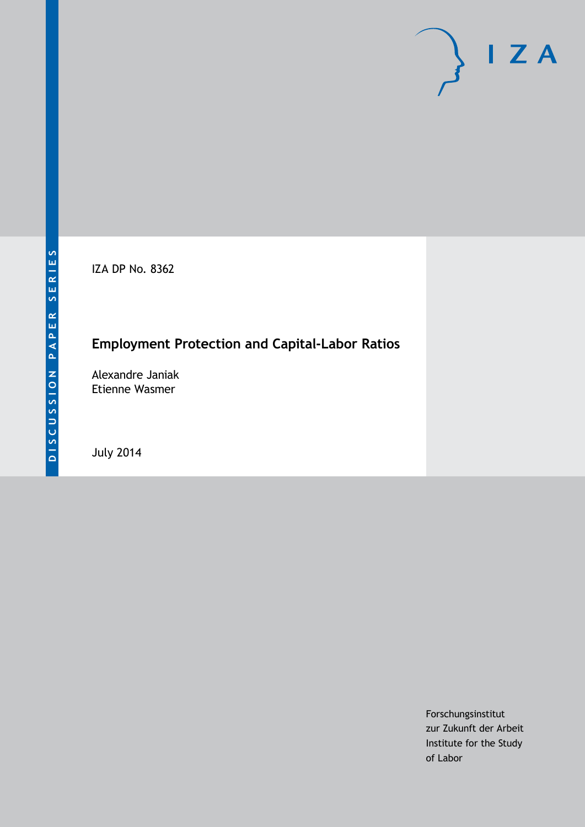IZA DP No. 8362

# **Employment Protection and Capital-Labor Ratios**

Alexandre Janiak Etienne Wasmer

July 2014

Forschungsinstitut zur Zukunft der Arbeit Institute for the Study of Labor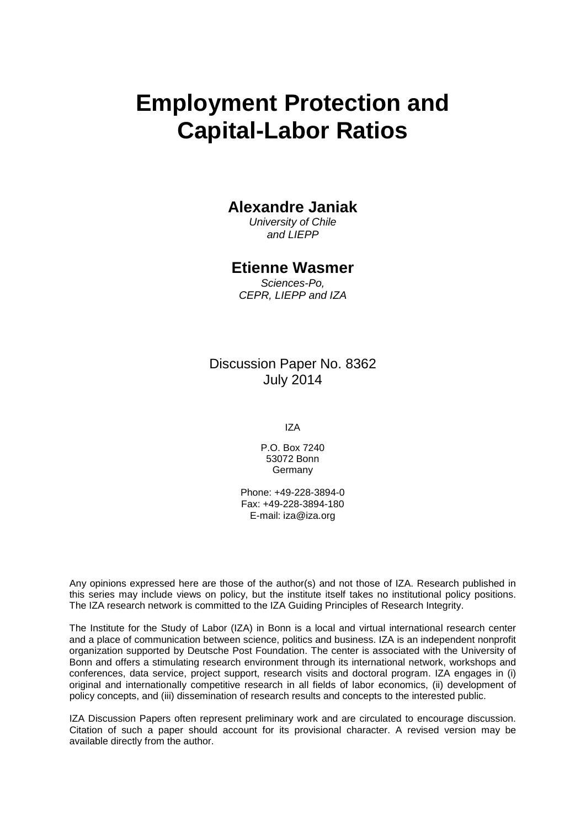# **Employment Protection and Capital-Labor Ratios**

### **Alexandre Janiak**

*University of Chile and LIEPP*

### **Etienne Wasmer**

*Sciences-Po, CEPR, LIEPP and IZA*

Discussion Paper No. 8362 July 2014

IZA

P.O. Box 7240 53072 Bonn **Germany** 

Phone: +49-228-3894-0 Fax: +49-228-3894-180 E-mail: [iza@iza.org](mailto:iza@iza.org)

Any opinions expressed here are those of the author(s) and not those of IZA. Research published in this series may include views on policy, but the institute itself takes no institutional policy positions. The IZA research network is committed to the IZA Guiding Principles of Research Integrity.

The Institute for the Study of Labor (IZA) in Bonn is a local and virtual international research center and a place of communication between science, politics and business. IZA is an independent nonprofit organization supported by Deutsche Post Foundation. The center is associated with the University of Bonn and offers a stimulating research environment through its international network, workshops and conferences, data service, project support, research visits and doctoral program. IZA engages in (i) original and internationally competitive research in all fields of labor economics, (ii) development of policy concepts, and (iii) dissemination of research results and concepts to the interested public.

<span id="page-1-0"></span>IZA Discussion Papers often represent preliminary work and are circulated to encourage discussion. Citation of such a paper should account for its provisional character. A revised version may be available directly from the author.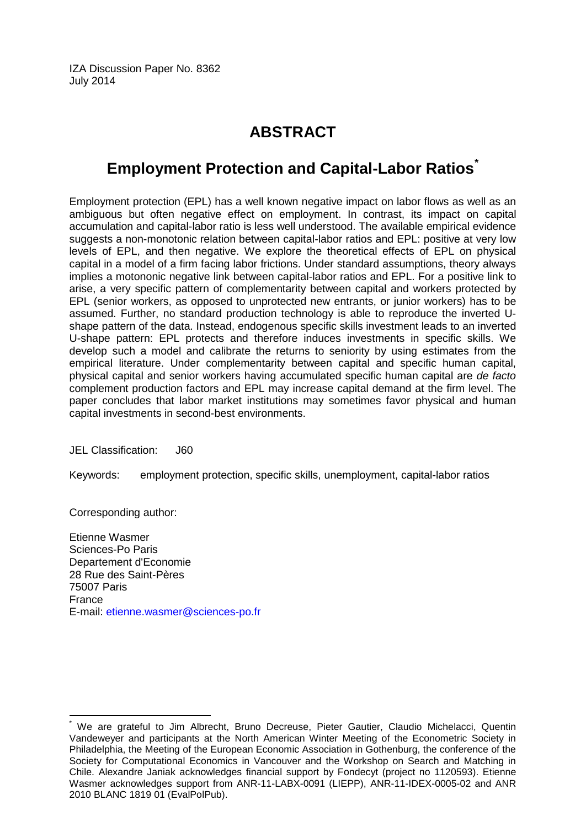IZA Discussion Paper No. 8362 July 2014

# **ABSTRACT**

# **Employment Protection and Capital-Labor Ratios[\\*](#page-1-0)**

Employment protection (EPL) has a well known negative impact on labor flows as well as an ambiguous but often negative effect on employment. In contrast, its impact on capital accumulation and capital-labor ratio is less well understood. The available empirical evidence suggests a non-monotonic relation between capital-labor ratios and EPL: positive at very low levels of EPL, and then negative. We explore the theoretical effects of EPL on physical capital in a model of a firm facing labor frictions. Under standard assumptions, theory always implies a motononic negative link between capital-labor ratios and EPL. For a positive link to arise, a very specific pattern of complementarity between capital and workers protected by EPL (senior workers, as opposed to unprotected new entrants, or junior workers) has to be assumed. Further, no standard production technology is able to reproduce the inverted Ushape pattern of the data. Instead, endogenous specific skills investment leads to an inverted U-shape pattern: EPL protects and therefore induces investments in specific skills. We develop such a model and calibrate the returns to seniority by using estimates from the empirical literature. Under complementarity between capital and specific human capital, physical capital and senior workers having accumulated specific human capital are *de facto* complement production factors and EPL may increase capital demand at the firm level. The paper concludes that labor market institutions may sometimes favor physical and human capital investments in second-best environments.

JEL Classification: J60

Keywords: employment protection, specific skills, unemployment, capital-labor ratios

Corresponding author:

Etienne Wasmer Sciences-Po Paris Departement d'Economie 28 Rue des Saint-Pères 75007 Paris France E-mail: [etienne.wasmer@sciences-po.fr](mailto:etienne.wasmer@sciences-po.fr)

We are grateful to Jim Albrecht, Bruno Decreuse, Pieter Gautier, Claudio Michelacci, Quentin Vandeweyer and participants at the North American Winter Meeting of the Econometric Society in Philadelphia, the Meeting of the European Economic Association in Gothenburg, the conference of the Society for Computational Economics in Vancouver and the Workshop on Search and Matching in Chile. Alexandre Janiak acknowledges financial support by Fondecyt (project no 1120593). Etienne Wasmer acknowledges support from ANR-11-LABX-0091 (LIEPP), ANR-11-IDEX-0005-02 and ANR 2010 BLANC 1819 01 (EvalPolPub).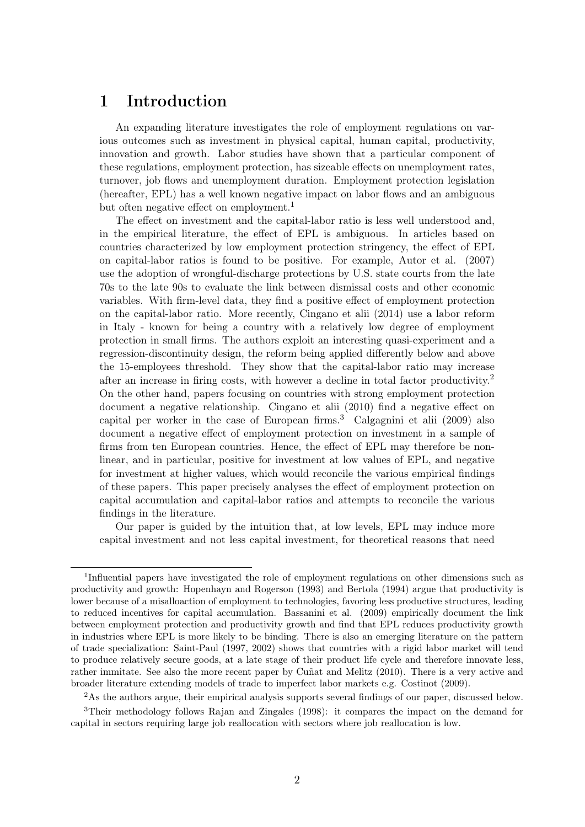### 1 Introduction

An expanding literature investigates the role of employment regulations on various outcomes such as investment in physical capital, human capital, productivity, innovation and growth. Labor studies have shown that a particular component of these regulations, employment protection, has sizeable effects on unemployment rates, turnover, job flows and unemployment duration. Employment protection legislation (hereafter, EPL) has a well known negative impact on labor flows and an ambiguous but often negative effect on employment.<sup>1</sup>

The effect on investment and the capital-labor ratio is less well understood and, in the empirical literature, the effect of EPL is ambiguous. In articles based on countries characterized by low employment protection stringency, the effect of EPL on capital-labor ratios is found to be positive. For example, Autor et al. (2007) use the adoption of wrongful-discharge protections by U.S. state courts from the late 70s to the late 90s to evaluate the link between dismissal costs and other economic variables. With firm-level data, they find a positive effect of employment protection on the capital-labor ratio. More recently, Cingano et alii (2014) use a labor reform in Italy - known for being a country with a relatively low degree of employment protection in small firms. The authors exploit an interesting quasi-experiment and a regression-discontinuity design, the reform being applied differently below and above the 15-employees threshold. They show that the capital-labor ratio may increase after an increase in firing costs, with however a decline in total factor productivity.<sup>2</sup> On the other hand, papers focusing on countries with strong employment protection document a negative relationship. Cingano et alii (2010) find a negative effect on capital per worker in the case of European firms.<sup>3</sup> Calgagnini et alii (2009) also document a negative effect of employment protection on investment in a sample of firms from ten European countries. Hence, the effect of EPL may therefore be nonlinear, and in particular, positive for investment at low values of EPL, and negative for investment at higher values, which would reconcile the various empirical findings of these papers. This paper precisely analyses the effect of employment protection on capital accumulation and capital-labor ratios and attempts to reconcile the various findings in the literature.

Our paper is guided by the intuition that, at low levels, EPL may induce more capital investment and not less capital investment, for theoretical reasons that need

<sup>2</sup>As the authors argue, their empirical analysis supports several findings of our paper, discussed below.

<sup>&</sup>lt;sup>1</sup>Influential papers have investigated the role of employment regulations on other dimensions such as productivity and growth: Hopenhayn and Rogerson (1993) and Bertola (1994) argue that productivity is lower because of a misalloaction of employment to technologies, favoring less productive structures, leading to reduced incentives for capital accumulation. Bassanini et al. (2009) empirically document the link between employment protection and productivity growth and find that EPL reduces productivity growth in industries where EPL is more likely to be binding. There is also an emerging literature on the pattern of trade specialization: Saint-Paul (1997, 2002) shows that countries with a rigid labor market will tend to produce relatively secure goods, at a late stage of their product life cycle and therefore innovate less, rather immitate. See also the more recent paper by Cuñat and Melitz (2010). There is a very active and broader literature extending models of trade to imperfect labor markets e.g. Costinot (2009).

<sup>3</sup>Their methodology follows Rajan and Zingales (1998): it compares the impact on the demand for capital in sectors requiring large job reallocation with sectors where job reallocation is low.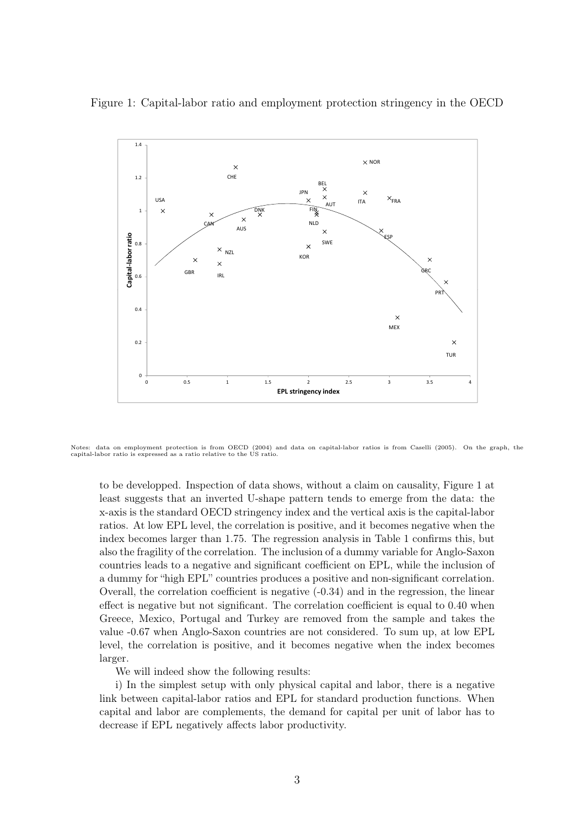

Figure 1: Capital-labor ratio and employment protection stringency in the OECD

Notes: data on employment protection is from OECD (2004) and data on capital-labor ratios is from Caselli (2005). On the graph, the capital-labor ratio is expressed as a ratio relative to the US ratio.

to be developped. Inspection of data shows, without a claim on causality, Figure 1 at least suggests that an inverted U-shape pattern tends to emerge from the data: the x-axis is the standard OECD stringency index and the vertical axis is the capital-labor ratios. At low EPL level, the correlation is positive, and it becomes negative when the index becomes larger than 1.75. The regression analysis in Table 1 confirms this, but also the fragility of the correlation. The inclusion of a dummy variable for Anglo-Saxon countries leads to a negative and significant coefficient on EPL, while the inclusion of a dummy for "high EPL" countries produces a positive and non-significant correlation. Overall, the correlation coefficient is negative (-0.34) and in the regression, the linear effect is negative but not significant. The correlation coefficient is equal to 0.40 when Greece, Mexico, Portugal and Turkey are removed from the sample and takes the value -0.67 when Anglo-Saxon countries are not considered. To sum up, at low EPL level, the correlation is positive, and it becomes negative when the index becomes larger.

We will indeed show the following results:

i) In the simplest setup with only physical capital and labor, there is a negative link between capital-labor ratios and EPL for standard production functions. When capital and labor are complements, the demand for capital per unit of labor has to decrease if EPL negatively affects labor productivity.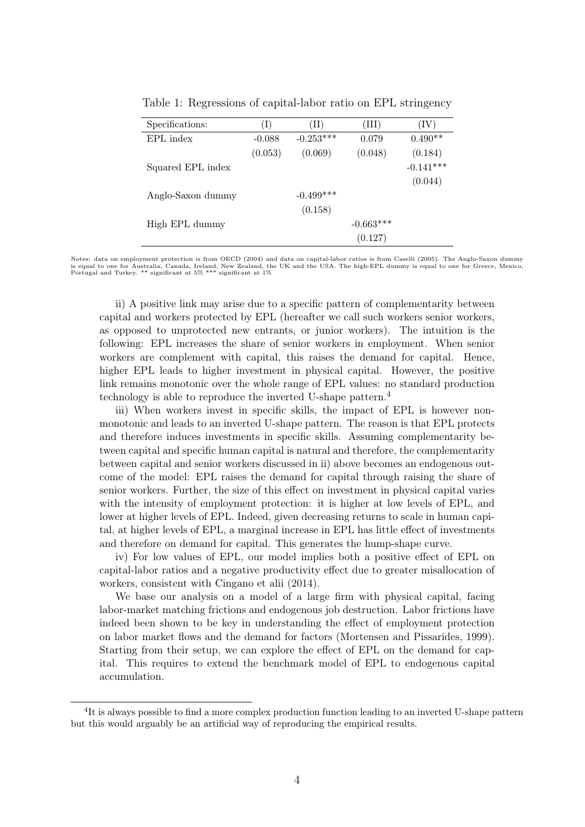| Specifications:   | $(\mathrm{I})$ | $(\mathrm{II})$ | (III)       | $({\rm IV})$ |
|-------------------|----------------|-----------------|-------------|--------------|
| EPL index         | $-0.088$       | $-0.253***$     | 0.079       | $0.490**$    |
|                   | (0.053)        | (0.069)         | (0.048)     | (0.184)      |
| Squared EPL index |                |                 |             | $-0.141***$  |
|                   |                |                 |             | (0.044)      |
| Anglo-Saxon dummy |                | $-0.499***$     |             |              |
|                   |                | (0.158)         |             |              |
| High EPL dummy    |                |                 | $-0.663***$ |              |
|                   |                |                 | (0.127)     |              |

Table 1: Regressions of capital-labor ratio on EPL stringency

Notes: data on employment protection is from OECD (2004) and data on capital-labor ratios is from Caselli (2005). The Anglo-Saxon dummy is equal to one for Australia, Canada, Ireland, New Zealand, the UK and the USA. The high-EPL dummy is equal to one for Greece, Mexico, Portugal and Turkey. \*\* significant at 5% \*\*\* significant at 1%

ii) A positive link may arise due to a specific pattern of complementarity between capital and workers protected by EPL (hereafter we call such workers senior workers, as opposed to unprotected new entrants, or junior workers). The intuition is the following: EPL increases the share of senior workers in employment. When senior workers are complement with capital, this raises the demand for capital. Hence, higher EPL leads to higher investment in physical capital. However, the positive link remains monotonic over the whole range of EPL values: no standard production technology is able to reproduce the inverted U-shape pattern.<sup>4</sup>

iii) When workers invest in specific skills, the impact of EPL is however nonmonotonic and leads to an inverted U-shape pattern. The reason is that EPL protects and therefore induces investments in specific skills. Assuming complementarity between capital and specific human capital is natural and therefore, the complementarity between capital and senior workers discussed in ii) above becomes an endogenous outcome of the model: EPL raises the demand for capital through raising the share of senior workers. Further, the size of this effect on investment in physical capital varies with the intensity of employment protection: it is higher at low levels of EPL, and lower at higher levels of EPL. Indeed, given decreasing returns to scale in human capital, at higher levels of EPL, a marginal increase in EPL has little effect of investments and therefore on demand for capital. This generates the hump-shape curve.

iv) For low values of EPL, our model implies both a positive effect of EPL on capital-labor ratios and a negative productivity effect due to greater misallocation of workers, consistent with Cingano et alii (2014).

We base our analysis on a model of a large firm with physical capital, facing labor-market matching frictions and endogenous job destruction. Labor frictions have indeed been shown to be key in understanding the effect of employment protection on labor market flows and the demand for factors (Mortensen and Pissarides, 1999). Starting from their setup, we can explore the effect of EPL on the demand for capital. This requires to extend the benchmark model of EPL to endogenous capital accumulation.

<sup>&</sup>lt;sup>4</sup>It is always possible to find a more complex production function leading to an inverted U-shape pattern but this would arguably be an artificial way of reproducing the empirical results.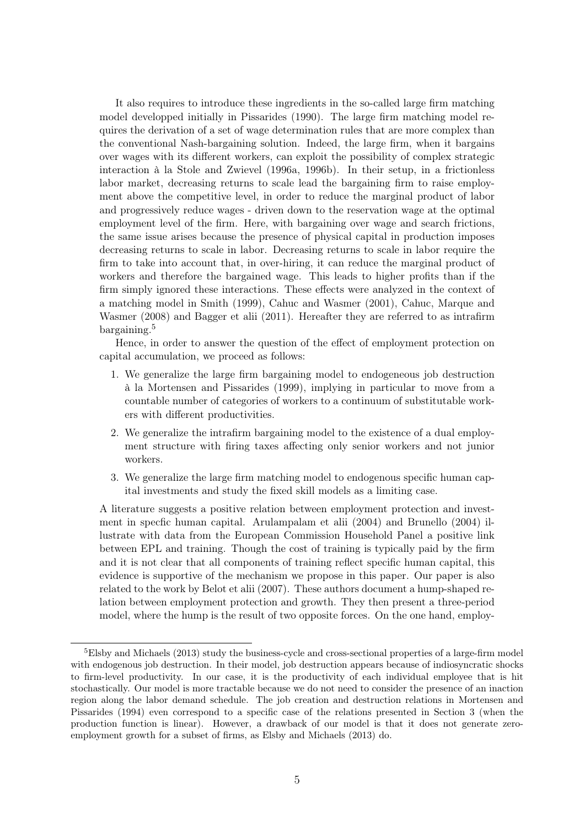It also requires to introduce these ingredients in the so-called large firm matching model developped initially in Pissarides (1990). The large firm matching model requires the derivation of a set of wage determination rules that are more complex than the conventional Nash-bargaining solution. Indeed, the large firm, when it bargains over wages with its different workers, can exploit the possibility of complex strategic interaction à la Stole and Zwievel (1996a, 1996b). In their setup, in a frictionless labor market, decreasing returns to scale lead the bargaining firm to raise employment above the competitive level, in order to reduce the marginal product of labor and progressively reduce wages - driven down to the reservation wage at the optimal employment level of the firm. Here, with bargaining over wage and search frictions, the same issue arises because the presence of physical capital in production imposes decreasing returns to scale in labor. Decreasing returns to scale in labor require the firm to take into account that, in over-hiring, it can reduce the marginal product of workers and therefore the bargained wage. This leads to higher profits than if the firm simply ignored these interactions. These effects were analyzed in the context of a matching model in Smith (1999), Cahuc and Wasmer (2001), Cahuc, Marque and Wasmer (2008) and Bagger et alii (2011). Hereafter they are referred to as intrafirm bargaining.<sup>5</sup>

Hence, in order to answer the question of the effect of employment protection on capital accumulation, we proceed as follows:

- 1. We generalize the large firm bargaining model to endogeneous job destruction à la Mortensen and Pissarides (1999), implying in particular to move from a countable number of categories of workers to a continuum of substitutable workers with different productivities.
- 2. We generalize the intrafirm bargaining model to the existence of a dual employment structure with firing taxes affecting only senior workers and not junior workers.
- 3. We generalize the large firm matching model to endogenous specific human capital investments and study the fixed skill models as a limiting case.

A literature suggests a positive relation between employment protection and investment in specfic human capital. Arulampalam et alii (2004) and Brunello (2004) illustrate with data from the European Commission Household Panel a positive link between EPL and training. Though the cost of training is typically paid by the firm and it is not clear that all components of training reflect specific human capital, this evidence is supportive of the mechanism we propose in this paper. Our paper is also related to the work by Belot et alii (2007). These authors document a hump-shaped relation between employment protection and growth. They then present a three-period model, where the hump is the result of two opposite forces. On the one hand, employ-

 ${}^{5}$ Elsby and Michaels (2013) study the business-cycle and cross-sectional properties of a large-firm model with endogenous job destruction. In their model, job destruction appears because of indiosyncratic shocks to firm-level productivity. In our case, it is the productivity of each individual employee that is hit stochastically. Our model is more tractable because we do not need to consider the presence of an inaction region along the labor demand schedule. The job creation and destruction relations in Mortensen and Pissarides (1994) even correspond to a specific case of the relations presented in Section 3 (when the production function is linear). However, a drawback of our model is that it does not generate zeroemployment growth for a subset of firms, as Elsby and Michaels (2013) do.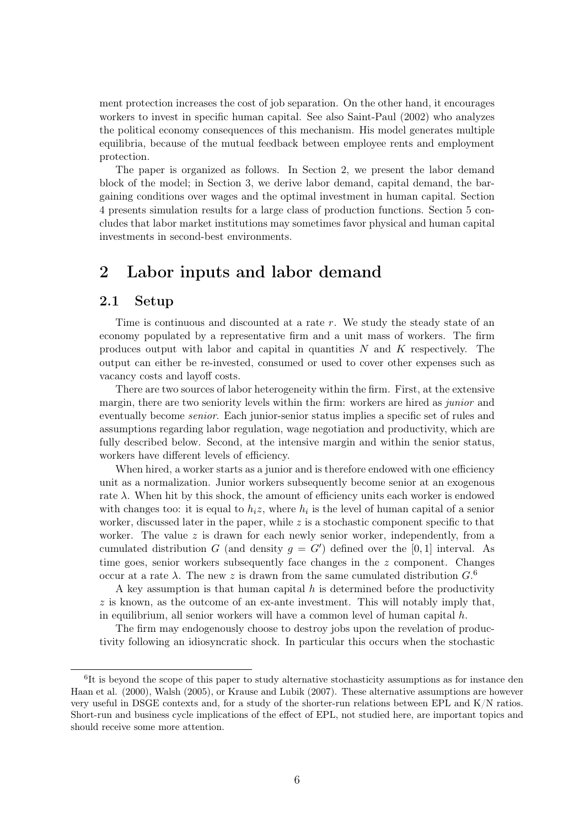ment protection increases the cost of job separation. On the other hand, it encourages workers to invest in specific human capital. See also Saint-Paul (2002) who analyzes the political economy consequences of this mechanism. His model generates multiple equilibria, because of the mutual feedback between employee rents and employment protection.

The paper is organized as follows. In Section 2, we present the labor demand block of the model; in Section 3, we derive labor demand, capital demand, the bargaining conditions over wages and the optimal investment in human capital. Section 4 presents simulation results for a large class of production functions. Section 5 concludes that labor market institutions may sometimes favor physical and human capital investments in second-best environments.

### 2 Labor inputs and labor demand

#### 2.1 Setup

Time is continuous and discounted at a rate r. We study the steady state of an economy populated by a representative firm and a unit mass of workers. The firm produces output with labor and capital in quantities  $N$  and  $K$  respectively. The output can either be re-invested, consumed or used to cover other expenses such as vacancy costs and layoff costs.

There are two sources of labor heterogeneity within the firm. First, at the extensive margin, there are two seniority levels within the firm: workers are hired as junior and eventually become senior. Each junior-senior status implies a specific set of rules and assumptions regarding labor regulation, wage negotiation and productivity, which are fully described below. Second, at the intensive margin and within the senior status, workers have different levels of efficiency.

When hired, a worker starts as a junior and is therefore endowed with one efficiency unit as a normalization. Junior workers subsequently become senior at an exogenous rate  $\lambda$ . When hit by this shock, the amount of efficiency units each worker is endowed with changes too: it is equal to  $h_i z$ , where  $h_i$  is the level of human capital of a senior worker, discussed later in the paper, while  $z$  is a stochastic component specific to that worker. The value  $z$  is drawn for each newly senior worker, independently, from a cumulated distribution G (and density  $g = G'$ ) defined over the [0,1] interval. As time goes, senior workers subsequently face changes in the z component. Changes occur at a rate  $\lambda$ . The new z is drawn from the same cumulated distribution  $G$ .<sup>6</sup>

A key assumption is that human capital  $h$  is determined before the productivity  $z$  is known, as the outcome of an ex-ante investment. This will notably imply that, in equilibrium, all senior workers will have a common level of human capital  $h$ .

The firm may endogenously choose to destroy jobs upon the revelation of productivity following an idiosyncratic shock. In particular this occurs when the stochastic

<sup>&</sup>lt;sup>6</sup>It is beyond the scope of this paper to study alternative stochasticity assumptions as for instance den Haan et al. (2000), Walsh (2005), or Krause and Lubik (2007). These alternative assumptions are however very useful in DSGE contexts and, for a study of the shorter-run relations between EPL and K/N ratios. Short-run and business cycle implications of the effect of EPL, not studied here, are important topics and should receive some more attention.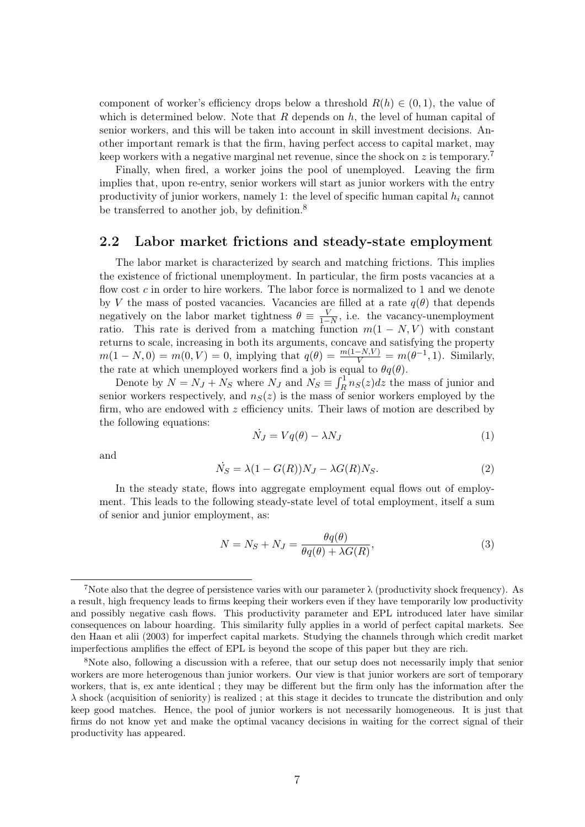component of worker's efficiency drops below a threshold  $R(h) \in (0, 1)$ , the value of which is determined below. Note that  $R$  depends on  $h$ , the level of human capital of senior workers, and this will be taken into account in skill investment decisions. Another important remark is that the firm, having perfect access to capital market, may keep workers with a negative marginal net revenue, since the shock on z is temporary.<sup>7</sup>

Finally, when fired, a worker joins the pool of unemployed. Leaving the firm implies that, upon re-entry, senior workers will start as junior workers with the entry productivity of junior workers, namely 1: the level of specific human capital  $h_i$  cannot be transferred to another job, by definition.<sup>8</sup>

#### 2.2 Labor market frictions and steady-state employment

The labor market is characterized by search and matching frictions. This implies the existence of frictional unemployment. In particular, the firm posts vacancies at a flow cost c in order to hire workers. The labor force is normalized to 1 and we denote by V the mass of posted vacancies. Vacancies are filled at a rate  $q(\theta)$  that depends negatively on the labor market tightness  $\theta \equiv \frac{V}{1-N}$ , i.e. the vacancy-unemployment ratio. This rate is derived from a matching function  $m(1 - N, V)$  with constant returns to scale, increasing in both its arguments, concave and satisfying the property  $m(1 - N, 0) = m(0, V) = 0$ , implying that  $q(\theta) = \frac{m(1 - N, V)}{V} = m(\theta^{-1}, 1)$ . Similarly, the rate at which unemployed workers find a job is equal to  $\theta q(\theta)$ .

Denote by  $N = N_J + N_S$  where  $N_J$  and  $N_S \equiv \int_R^1 n_S(z) dz$  the mass of junior and senior workers respectively, and  $n<sub>S</sub>(z)$  is the mass of senior workers employed by the firm, who are endowed with  $z$  efficiency units. Their laws of motion are described by the following equations:

$$
\dot{N}_J = Vq(\theta) - \lambda N_J \tag{1}
$$

and

$$
\dot{N}_S = \lambda (1 - G(R)) N_J - \lambda G(R) N_S. \tag{2}
$$

In the steady state, flows into aggregate employment equal flows out of employment. This leads to the following steady-state level of total employment, itself a sum of senior and junior employment, as:

$$
N = N_S + N_J = \frac{\theta q(\theta)}{\theta q(\theta) + \lambda G(R)},
$$
\n(3)

<sup>&</sup>lt;sup>7</sup>Note also that the degree of persistence varies with our parameter  $\lambda$  (productivity shock frequency). As a result, high frequency leads to firms keeping their workers even if they have temporarily low productivity and possibly negative cash flows. This productivity parameter and EPL introduced later have similar consequences on labour hoarding. This similarity fully applies in a world of perfect capital markets. See den Haan et alii (2003) for imperfect capital markets. Studying the channels through which credit market imperfections amplifies the effect of EPL is beyond the scope of this paper but they are rich.

<sup>8</sup>Note also, following a discussion with a referee, that our setup does not necessarily imply that senior workers are more heterogenous than junior workers. Our view is that junior workers are sort of temporary workers, that is, ex ante identical ; they may be different but the firm only has the information after the  $\lambda$  shock (acquisition of seniority) is realized; at this stage it decides to truncate the distribution and only keep good matches. Hence, the pool of junior workers is not necessarily homogeneous. It is just that firms do not know yet and make the optimal vacancy decisions in waiting for the correct signal of their productivity has appeared.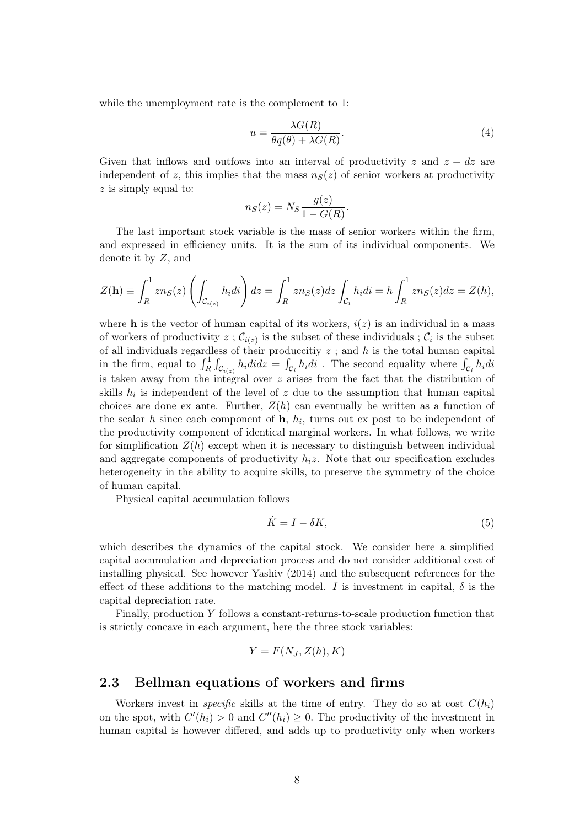while the unemployment rate is the complement to 1:

$$
u = \frac{\lambda G(R)}{\theta q(\theta) + \lambda G(R)}.
$$
\n<sup>(4)</sup>

Given that inflows and outfows into an interval of productivity z and  $z + dz$  are independent of z, this implies that the mass  $n<sub>S</sub>(z)$  of senior workers at productivity  $z$  is simply equal to:

$$
n_S(z) = N_S \frac{g(z)}{1 - G(R)}.
$$

The last important stock variable is the mass of senior workers within the firm, and expressed in efficiency units. It is the sum of its individual components. We denote it by Z, and

$$
Z(\mathbf{h}) \equiv \int_R^1 z n_S(z) \left( \int_{\mathcal{C}_{i(z)}} h_i \, di \right) dz = \int_R^1 z n_S(z) dz \int_{\mathcal{C}_i} h_i \, di = h \int_R^1 z n_S(z) dz = Z(h),
$$

where h is the vector of human capital of its workers,  $i(z)$  is an individual in a mass of workers of productivity  $z$ ;  $\mathcal{C}_{i(z)}$  is the subset of these individuals;  $\mathcal{C}_i$  is the subset of all individuals regardless of their produccitiy  $z$ ; and  $h$  is the total human capital in the firm, equal to  $\int_R^1 \int_{C_{i(z)}} h_i \, di \, dz = \int_{C_i} h_i \, di$ . The second equality where  $\int_{C_i} h_i \, di$ is taken away from the integral over z arises from the fact that the distribution of skills  $h_i$  is independent of the level of z due to the assumption that human capital choices are done ex ante. Further,  $Z(h)$  can eventually be written as a function of the scalar h since each component of  $h$ ,  $h_i$ , turns out ex post to be independent of the productivity component of identical marginal workers. In what follows, we write for simplification  $Z(h)$  except when it is necessary to distinguish between individual and aggregate components of productivity  $h_i z$ . Note that our specification excludes heterogeneity in the ability to acquire skills, to preserve the symmetry of the choice of human capital.

Physical capital accumulation follows

$$
\dot{K} = I - \delta K,\tag{5}
$$

which describes the dynamics of the capital stock. We consider here a simplified capital accumulation and depreciation process and do not consider additional cost of installing physical. See however Yashiv (2014) and the subsequent references for the effect of these additions to the matching model. I is investment in capital,  $\delta$  is the capital depreciation rate.

Finally, production Y follows a constant-returns-to-scale production function that is strictly concave in each argument, here the three stock variables:

$$
Y = F(N_J, Z(h), K)
$$

### 2.3 Bellman equations of workers and firms

Workers invest in *specific* skills at the time of entry. They do so at cost  $C(h_i)$ on the spot, with  $C'(h_i) > 0$  and  $C''(h_i) \geq 0$ . The productivity of the investment in human capital is however differed, and adds up to productivity only when workers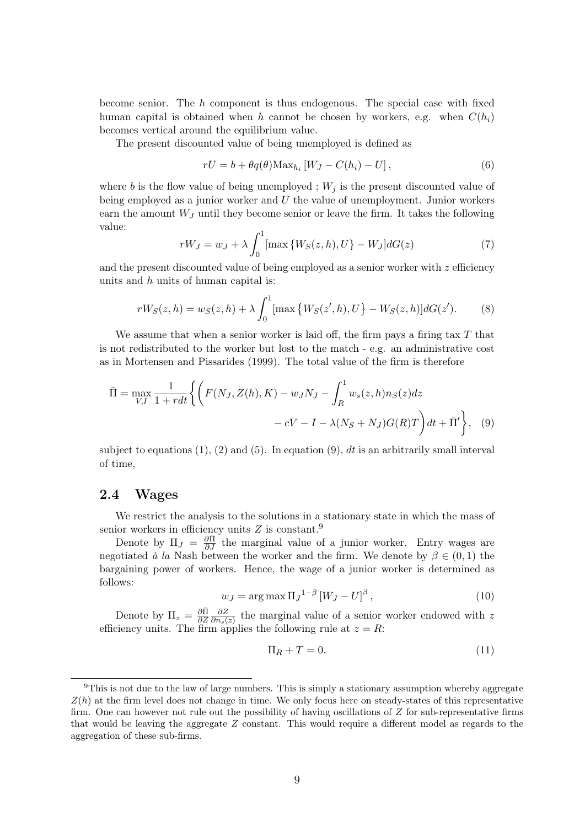become senior. The h component is thus endogenous. The special case with fixed human capital is obtained when h cannot be chosen by workers, e.g. when  $C(h_i)$ becomes vertical around the equilibrium value.

The present discounted value of being unemployed is defined as

$$
rU = b + \theta q(\theta) \text{Max}_{h_i} \left[ W_J - C(h_i) - U \right],\tag{6}
$$

where b is the flow value of being unemployed ;  $W_j$  is the present discounted value of being employed as a junior worker and  $U$  the value of unemployment. Junior workers earn the amount  $W_J$  until they become senior or leave the firm. It takes the following value:

$$
rW_J = w_J + \lambda \int_0^1 [\max \{ W_S(z, h), U \} - W_J] dG(z)
$$
 (7)

and the present discounted value of being employed as a senior worker with  $z$  efficiency units and h units of human capital is:

$$
rW_S(z,h) = w_S(z,h) + \lambda \int_0^1 [\max \{ W_S(z',h), U \} - W_S(z,h)] dG(z').
$$
 (8)

We assume that when a senior worker is laid off, the firm pays a firing tax  $T$  that is not redistributed to the worker but lost to the match - e.g. an administrative cost as in Mortensen and Pissarides (1999). The total value of the firm is therefore

$$
\overline{\Pi} = \max_{V,I} \frac{1}{1+rdt} \left\{ \left( F(N_J, Z(h), K) - w_J N_J - \int_R^1 w_s(z, h) n_S(z) dz - cV - I - \lambda (N_S + N_J) G(R) T \right) dt + \overline{\Pi}' \right\}, \quad (9)
$$

subject to equations  $(1)$ ,  $(2)$  and  $(5)$ . In equation  $(9)$ , dt is an arbitrarily small interval of time,

#### 2.4 Wages

We restrict the analysis to the solutions in a stationary state in which the mass of senior workers in efficiency units  $Z$  is constant.<sup>9</sup>

Denote by  $\Pi_J = \frac{\partial \bar{\Pi}}{\partial J}$  the marginal value of a junior worker. Entry wages are negotiated à la Nash between the worker and the firm. We denote by  $\beta \in (0,1)$  the bargaining power of workers. Hence, the wage of a junior worker is determined as follows:

$$
w_J = \arg \max \Pi_J^{-1-\beta} \left[ W_J - U \right]^{\beta}, \tag{10}
$$

Denote by  $\Pi_z = \frac{\partial \bar{\Pi}}{\partial z}$ ∂Z ∂Z  $\frac{\partial Z}{\partial n_s(z)}$  the marginal value of a senior worker endowed with z efficiency units. The firm applies the following rule at  $z = R$ :

$$
\Pi_R + T = 0.\tag{11}
$$

 $9$ This is not due to the law of large numbers. This is simply a stationary assumption whereby aggregate  $Z(h)$  at the firm level does not change in time. We only focus here on steady-states of this representative firm. One can however not rule out the possibility of having oscillations of  $Z$  for sub-representative firms that would be leaving the aggregate Z constant. This would require a different model as regards to the aggregation of these sub-firms.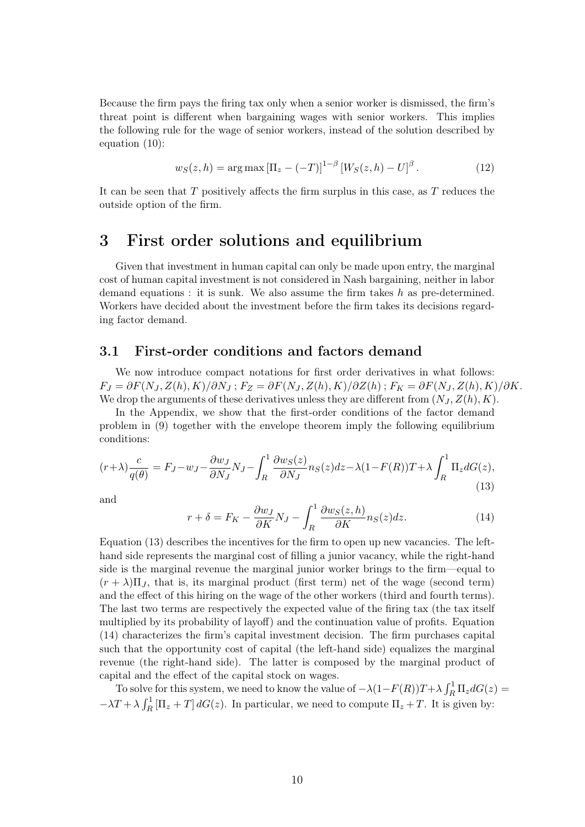Because the firm pays the firing tax only when a senior worker is dismissed, the firm's threat point is different when bargaining wages with senior workers. This implies the following rule for the wage of senior workers, instead of the solution described by equation (10):

$$
w_S(z, h) = \arg \max \left[ \Pi_z - (-T) \right]^{1-\beta} \left[ W_S(z, h) - U \right]^\beta. \tag{12}
$$

It can be seen that  $T$  positively affects the firm surplus in this case, as  $T$  reduces the outside option of the firm.

### 3 First order solutions and equilibrium

Given that investment in human capital can only be made upon entry, the marginal cost of human capital investment is not considered in Nash bargaining, neither in labor demand equations : it is sunk. We also assume the firm takes  $h$  as pre-determined. Workers have decided about the investment before the firm takes its decisions regarding factor demand.

#### 3.1 First-order conditions and factors demand

We now introduce compact notations for first order derivatives in what follows:  $F_J = \partial F(N_J, Z(h), K)/\partial N_J$ ;  $F_Z = \partial F(N_J, Z(h), K)/\partial Z(h)$ ;  $F_K = \partial F(N_J, Z(h), K)/\partial K$ . We drop the arguments of these derivatives unless they are different from  $(N_J, Z(h), K)$ .

In the Appendix, we show that the first-order conditions of the factor demand problem in (9) together with the envelope theorem imply the following equilibrium conditions:

$$
(r+\lambda)\frac{c}{q(\theta)} = F_J - w_J - \frac{\partial w_J}{\partial N_J}N_J - \int_R^1 \frac{\partial w_S(z)}{\partial N_J} n_S(z)dz - \lambda(1 - F(R))T + \lambda \int_R^1 \Pi_z dG(z),\tag{13}
$$

and

$$
r + \delta = F_K - \frac{\partial w_J}{\partial K} N_J - \int_R^1 \frac{\partial w_S(z, h)}{\partial K} n_S(z) dz.
$$
 (14)

Equation (13) describes the incentives for the firm to open up new vacancies. The lefthand side represents the marginal cost of filling a junior vacancy, while the right-hand side is the marginal revenue the marginal junior worker brings to the firm—equal to  $(r + \lambda)\Pi_J$ , that is, its marginal product (first term) net of the wage (second term) and the effect of this hiring on the wage of the other workers (third and fourth terms). The last two terms are respectively the expected value of the firing tax (the tax itself multiplied by its probability of layoff) and the continuation value of profits. Equation (14) characterizes the firm's capital investment decision. The firm purchases capital such that the opportunity cost of capital (the left-hand side) equalizes the marginal revenue (the right-hand side). The latter is composed by the marginal product of capital and the effect of the capital stock on wages.

To solve for this system, we need to know the value of  $-\lambda(1-F(R))T+\lambda\int_R^1\Pi_zdG(z)$  $-\lambda T + \lambda \int_R^1 [\Pi_z + T] dG(z)$ . In particular, we need to compute  $\Pi_z + T$ . It is given by: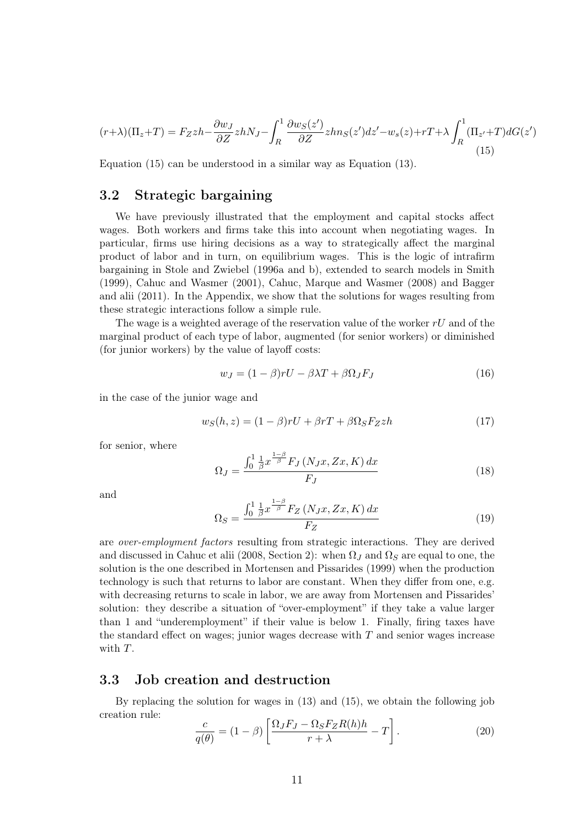$$
(r+\lambda)(\Pi_z+T) = F_Zzh - \frac{\partial w_J}{\partial Z}zhN_J - \int_R^1 \frac{\partial w_S(z')}{\partial Z}zhn_S(z')dz' - w_s(z) + rT + \lambda \int_R^1 (\Pi_{z'} + T)dG(z')
$$
\n(15)

Equation (15) can be understood in a similar way as Equation (13).

#### 3.2 Strategic bargaining

We have previously illustrated that the employment and capital stocks affect wages. Both workers and firms take this into account when negotiating wages. In particular, firms use hiring decisions as a way to strategically affect the marginal product of labor and in turn, on equilibrium wages. This is the logic of intrafirm bargaining in Stole and Zwiebel (1996a and b), extended to search models in Smith (1999), Cahuc and Wasmer (2001), Cahuc, Marque and Wasmer (2008) and Bagger and alii (2011). In the Appendix, we show that the solutions for wages resulting from these strategic interactions follow a simple rule.

The wage is a weighted average of the reservation value of the worker  $rU$  and of the marginal product of each type of labor, augmented (for senior workers) or diminished (for junior workers) by the value of layoff costs:

$$
w_J = (1 - \beta)rU - \beta\lambda T + \beta\Omega_J F_J \tag{16}
$$

in the case of the junior wage and

$$
w_S(h, z) = (1 - \beta)rU + \beta rT + \beta \Omega_S F_Z zh \tag{17}
$$

for senior, where

$$
\Omega_J = \frac{\int_0^1 \frac{1}{\beta} x^{\frac{1-\beta}{\beta}} F_J\left(N_J x, Zx, K\right) dx}{F_J} \tag{18}
$$

and

$$
\Omega_S = \frac{\int_0^1 \frac{1}{\beta} x^{\frac{1-\beta}{\beta}} F_Z \left( N_J x, Zx, K \right) dx}{F_Z} \tag{19}
$$

are over-employment factors resulting from strategic interactions. They are derived and discussed in Cahuc et alii (2008, Section 2): when  $\Omega_J$  and  $\Omega_S$  are equal to one, the solution is the one described in Mortensen and Pissarides (1999) when the production technology is such that returns to labor are constant. When they differ from one, e.g. with decreasing returns to scale in labor, we are away from Mortensen and Pissarides' solution: they describe a situation of "over-employment" if they take a value larger than 1 and "underemployment" if their value is below 1. Finally, firing taxes have the standard effect on wages; junior wages decrease with  $T$  and senior wages increase with T.

#### 3.3 Job creation and destruction

By replacing the solution for wages in (13) and (15), we obtain the following job creation rule:

$$
\frac{c}{q(\theta)} = (1 - \beta) \left[ \frac{\Omega_J F_J - \Omega_S F_Z R(h) h}{r + \lambda} - T \right].
$$
 (20)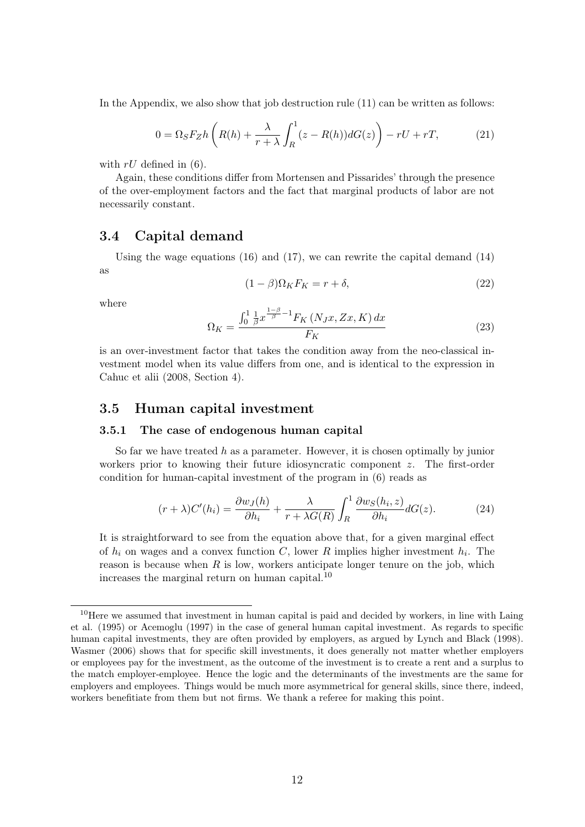In the Appendix, we also show that job destruction rule (11) can be written as follows:

$$
0 = \Omega_S F_Z h \left( R(h) + \frac{\lambda}{r + \lambda} \int_R^1 (z - R(h)) dG(z) \right) - rU + rT,
$$
 (21)

with  $rU$  defined in (6).

Again, these conditions differ from Mortensen and Pissarides' through the presence of the over-employment factors and the fact that marginal products of labor are not necessarily constant.

### 3.4 Capital demand

Using the wage equations  $(16)$  and  $(17)$ , we can rewrite the capital demand  $(14)$ as

$$
(1 - \beta)\Omega_K F_K = r + \delta,\tag{22}
$$

where

$$
\Omega_K = \frac{\int_0^1 \frac{1}{\beta} x^{\frac{1-\beta}{\beta}-1} F_K\left(N_J x, Zx, K\right) dx}{F_K} \tag{23}
$$

is an over-investment factor that takes the condition away from the neo-classical investment model when its value differs from one, and is identical to the expression in Cahuc et alii (2008, Section 4).

#### 3.5 Human capital investment

#### 3.5.1 The case of endogenous human capital

So far we have treated h as a parameter. However, it is chosen optimally by junior workers prior to knowing their future idiosyncratic component z. The first-order condition for human-capital investment of the program in (6) reads as

$$
(r + \lambda)C'(h_i) = \frac{\partial w_J(h)}{\partial h_i} + \frac{\lambda}{r + \lambda G(R)} \int_R^1 \frac{\partial w_S(h_i, z)}{\partial h_i} dG(z).
$$
 (24)

It is straightforward to see from the equation above that, for a given marginal effect of  $h_i$  on wages and a convex function C, lower R implies higher investment  $h_i$ . The reason is because when  $R$  is low, workers anticipate longer tenure on the job, which increases the marginal return on human capital.<sup>10</sup>

<sup>&</sup>lt;sup>10</sup>Here we assumed that investment in human capital is paid and decided by workers, in line with Laing et al. (1995) or Acemoglu (1997) in the case of general human capital investment. As regards to specific human capital investments, they are often provided by employers, as argued by Lynch and Black (1998). Wasmer (2006) shows that for specific skill investments, it does generally not matter whether employers or employees pay for the investment, as the outcome of the investment is to create a rent and a surplus to the match employer-employee. Hence the logic and the determinants of the investments are the same for employers and employees. Things would be much more asymmetrical for general skills, since there, indeed, workers benefitiate from them but not firms. We thank a referee for making this point.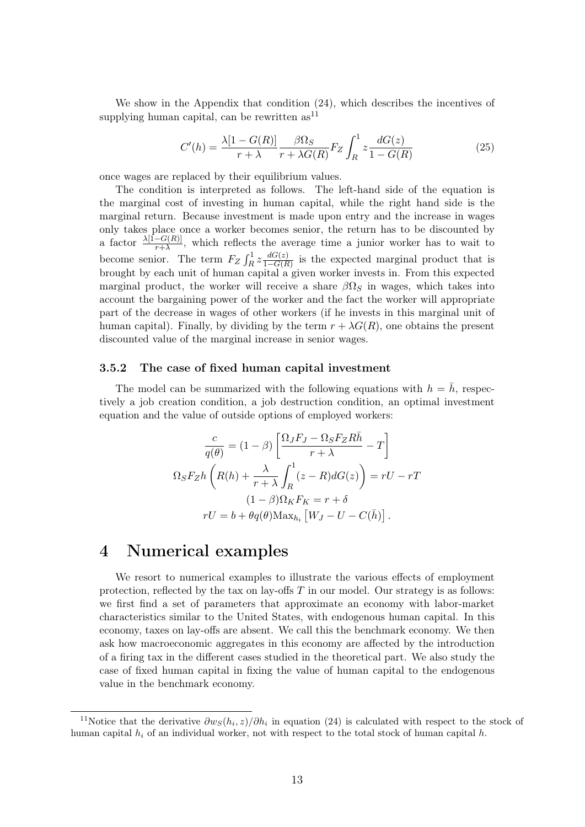We show in the Appendix that condition (24), which describes the incentives of supplying human capital, can be rewritten  $as<sup>11</sup>$ 

$$
C'(h) = \frac{\lambda[1 - G(R)]}{r + \lambda} \frac{\beta \Omega_S}{r + \lambda G(R)} F_Z \int_R^1 z \frac{dG(z)}{1 - G(R)} \tag{25}
$$

once wages are replaced by their equilibrium values.

The condition is interpreted as follows. The left-hand side of the equation is the marginal cost of investing in human capital, while the right hand side is the marginal return. Because investment is made upon entry and the increase in wages only takes place once a worker becomes senior, the return has to be discounted by a factor  $\frac{\lambda [1-G(R)]}{r+\lambda}$ , which reflects the average time a junior worker has to wait to become senior. The term  $F_Z \int_R^1 z \frac{dG(z)}{1 - G(R)}$  $\frac{dG(z)}{1-G(R)}$  is the expected marginal product that is brought by each unit of human capital a given worker invests in. From this expected marginal product, the worker will receive a share  $\beta\Omega_S$  in wages, which takes into account the bargaining power of the worker and the fact the worker will appropriate part of the decrease in wages of other workers (if he invests in this marginal unit of human capital). Finally, by dividing by the term  $r + \lambda G(R)$ , one obtains the present discounted value of the marginal increase in senior wages.

#### 3.5.2 The case of fixed human capital investment

The model can be summarized with the following equations with  $h = \bar{h}$ , respectively a job creation condition, a job destruction condition, an optimal investment equation and the value of outside options of employed workers:

$$
\frac{c}{q(\theta)} = (1 - \beta) \left[ \frac{\Omega_J F_J - \Omega_S F_Z R \bar{h}}{r + \lambda} - T \right]
$$

$$
\Omega_S F_Z h \left( R(h) + \frac{\lambda}{r + \lambda} \int_R^1 (z - R) dG(z) \right) = rU - rT
$$

$$
(1 - \beta) \Omega_K F_K = r + \delta
$$

$$
rU = b + \theta q(\theta) \text{Max}_{h_i} [W_J - U - C(\bar{h})].
$$

### 4 Numerical examples

We resort to numerical examples to illustrate the various effects of employment protection, reflected by the tax on lay-offs  $T$  in our model. Our strategy is as follows: we first find a set of parameters that approximate an economy with labor-market characteristics similar to the United States, with endogenous human capital. In this economy, taxes on lay-offs are absent. We call this the benchmark economy. We then ask how macroeconomic aggregates in this economy are affected by the introduction of a firing tax in the different cases studied in the theoretical part. We also study the case of fixed human capital in fixing the value of human capital to the endogenous value in the benchmark economy.

<sup>&</sup>lt;sup>11</sup>Notice that the derivative  $\partial w_s(h_i, z)/\partial h_i$  in equation (24) is calculated with respect to the stock of human capital  $h_i$  of an individual worker, not with respect to the total stock of human capital h.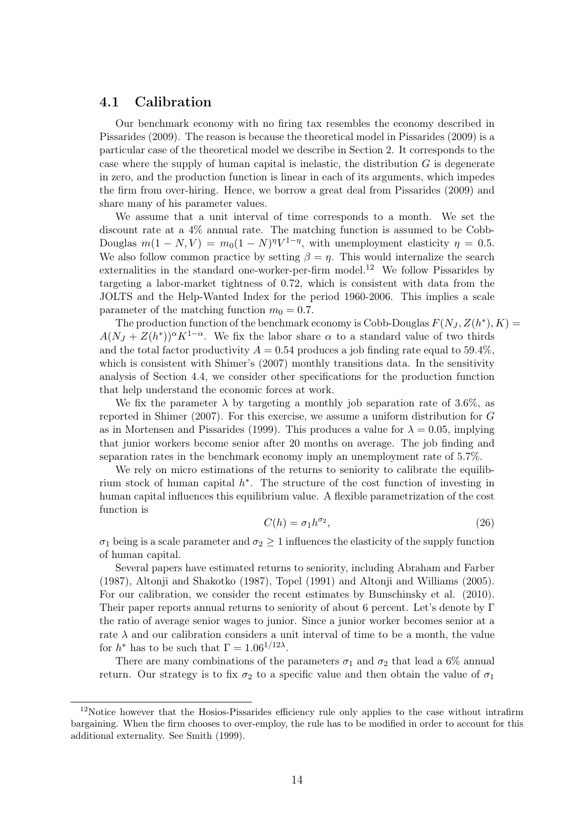### 4.1 Calibration

Our benchmark economy with no firing tax resembles the economy described in Pissarides (2009). The reason is because the theoretical model in Pissarides (2009) is a particular case of the theoretical model we describe in Section 2. It corresponds to the case where the supply of human capital is inelastic, the distribution  $G$  is degenerate in zero, and the production function is linear in each of its arguments, which impedes the firm from over-hiring. Hence, we borrow a great deal from Pissarides (2009) and share many of his parameter values.

We assume that a unit interval of time corresponds to a month. We set the discount rate at a 4% annual rate. The matching function is assumed to be Cobb-Douglas  $m(1 - N, V) = m_0(1 - N)^{\eta}V^{1-\eta}$ , with unemployment elasticity  $\eta = 0.5$ . We also follow common practice by setting  $\beta = \eta$ . This would internalize the search externalities in the standard one-worker-per-firm model.<sup>12</sup> We follow Pissarides by targeting a labor-market tightness of 0.72, which is consistent with data from the JOLTS and the Help-Wanted Index for the period 1960-2006. This implies a scale parameter of the matching function  $m_0 = 0.7$ .

The production function of the benchmark economy is Cobb-Douglas  $F(N_J, Z(h^*), K) =$  $A(N_J + Z(h^*))^{\alpha} K^{1-\alpha}$ . We fix the labor share  $\alpha$  to a standard value of two thirds and the total factor productivity  $A = 0.54$  produces a job finding rate equal to 59.4%, which is consistent with Shimer's (2007) monthly transitions data. In the sensitivity analysis of Section 4.4, we consider other specifications for the production function that help understand the economic forces at work.

We fix the parameter  $\lambda$  by targeting a monthly job separation rate of 3.6%, as reported in Shimer (2007). For this exercise, we assume a uniform distribution for G as in Mortensen and Pissarides (1999). This produces a value for  $\lambda = 0.05$ , implying that junior workers become senior after 20 months on average. The job finding and separation rates in the benchmark economy imply an unemployment rate of 5.7%.

We rely on micro estimations of the returns to seniority to calibrate the equilibrium stock of human capital  $h^*$ . The structure of the cost function of investing in human capital influences this equilibrium value. A flexible parametrization of the cost function is

$$
C(h) = \sigma_1 h^{\sigma_2},\tag{26}
$$

 $\sigma_1$  being is a scale parameter and  $\sigma_2 \geq 1$  influences the elasticity of the supply function of human capital.

Several papers have estimated returns to seniority, including Abraham and Farber (1987), Altonji and Shakotko (1987), Topel (1991) and Altonji and Williams (2005). For our calibration, we consider the recent estimates by Bunschinsky et al. (2010). Their paper reports annual returns to seniority of about 6 percent. Let's denote by Γ the ratio of average senior wages to junior. Since a junior worker becomes senior at a rate  $\lambda$  and our calibration considers a unit interval of time to be a month, the value for  $h^*$  has to be such that  $\Gamma = 1.06^{1/12\lambda}$ .

There are many combinations of the parameters  $\sigma_1$  and  $\sigma_2$  that lead a 6% annual return. Our strategy is to fix  $\sigma_2$  to a specific value and then obtain the value of  $\sigma_1$ 

 $12$ Notice however that the Hosios-Pissarides efficiency rule only applies to the case without intrafirm bargaining. When the firm chooses to over-employ, the rule has to be modified in order to account for this additional externality. See Smith (1999).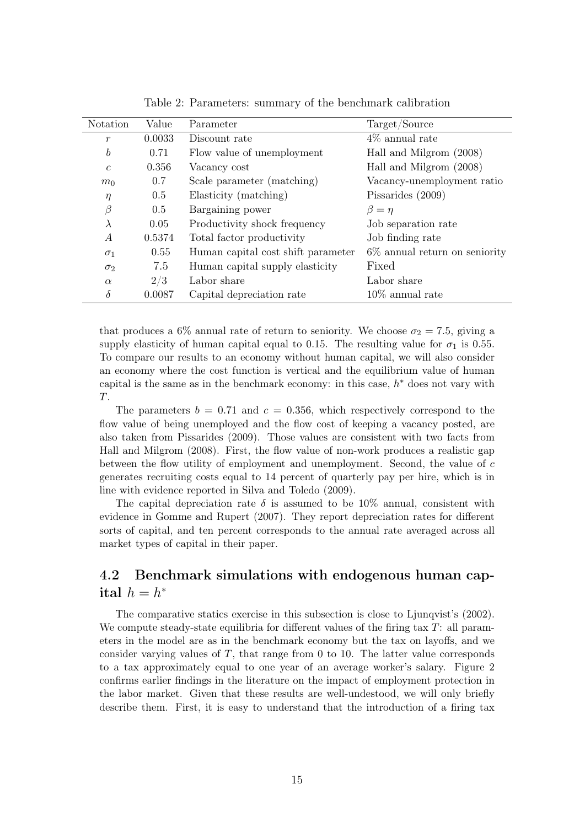| Notation         | Value  | Parameter                          | Target/Source                    |
|------------------|--------|------------------------------------|----------------------------------|
| $\boldsymbol{r}$ | 0.0033 | Discount rate                      | $4\%$ annual rate                |
| b                | 0.71   | Flow value of unemployment         | Hall and Milgrom (2008)          |
| $\mathfrak{c}$   | 0.356  | Vacancy cost                       | Hall and Milgrom (2008)          |
| m <sub>0</sub>   | 0.7    | Scale parameter (matching)         | Vacancy-unemployment ratio       |
| $\eta$           | 0.5    | Elasticity (matching)              | Pissarides (2009)                |
| $\beta$          | 0.5    | Bargaining power                   | $\beta = \eta$                   |
| $\lambda$        | 0.05   | Productivity shock frequency       | Job separation rate              |
| $\overline{A}$   | 0.5374 | Total factor productivity          | Job finding rate                 |
| $\sigma_1$       | 0.55   | Human capital cost shift parameter | $6\%$ annual return on seniority |
| $\sigma_2$       | 7.5    | Human capital supply elasticity    | Fixed                            |
| $\alpha$         | 2/3    | Labor share                        | Labor share                      |
| $\delta$         | 0.0087 | Capital depreciation rate          | $10\%$ annual rate               |

Table 2: Parameters: summary of the benchmark calibration

that produces a 6% annual rate of return to seniority. We choose  $\sigma_2 = 7.5$ , giving a supply elasticity of human capital equal to 0.15. The resulting value for  $\sigma_1$  is 0.55. To compare our results to an economy without human capital, we will also consider an economy where the cost function is vertical and the equilibrium value of human capital is the same as in the benchmark economy: in this case,  $h^*$  does not vary with T.

The parameters  $b = 0.71$  and  $c = 0.356$ , which respectively correspond to the flow value of being unemployed and the flow cost of keeping a vacancy posted, are also taken from Pissarides (2009). Those values are consistent with two facts from Hall and Milgrom (2008). First, the flow value of non-work produces a realistic gap between the flow utility of employment and unemployment. Second, the value of c generates recruiting costs equal to 14 percent of quarterly pay per hire, which is in line with evidence reported in Silva and Toledo (2009).

The capital depreciation rate  $\delta$  is assumed to be 10% annual, consistent with evidence in Gomme and Rupert (2007). They report depreciation rates for different sorts of capital, and ten percent corresponds to the annual rate averaged across all market types of capital in their paper.

### 4.2 Benchmark simulations with endogenous human capital  $h = h^*$

The comparative statics exercise in this subsection is close to Ljunqvist's (2002). We compute steady-state equilibria for different values of the firing tax  $T$ : all parameters in the model are as in the benchmark economy but the tax on layoffs, and we consider varying values of  $T$ , that range from 0 to 10. The latter value corresponds to a tax approximately equal to one year of an average worker's salary. Figure 2 confirms earlier findings in the literature on the impact of employment protection in the labor market. Given that these results are well-undestood, we will only briefly describe them. First, it is easy to understand that the introduction of a firing tax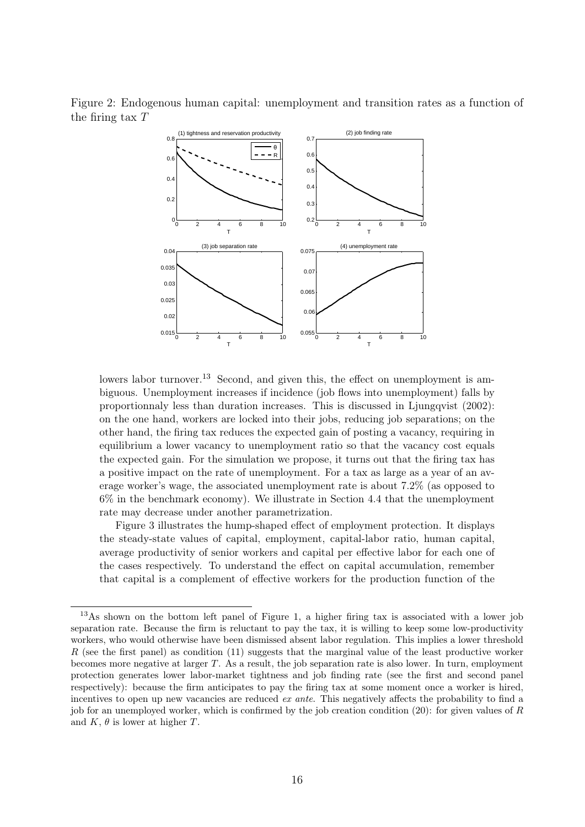Figure 2: Endogenous human capital: unemployment and transition rates as a function of the firing tax T



lowers labor turnover.<sup>13</sup> Second, and given this, the effect on unemployment is ambiguous. Unemployment increases if incidence (job flows into unemployment) falls by proportionnaly less than duration increases. This is discussed in Ljungqvist (2002): on the one hand, workers are locked into their jobs, reducing job separations; on the other hand, the firing tax reduces the expected gain of posting a vacancy, requiring in equilibrium a lower vacancy to unemployment ratio so that the vacancy cost equals the expected gain. For the simulation we propose, it turns out that the firing tax has a positive impact on the rate of unemployment. For a tax as large as a year of an average worker's wage, the associated unemployment rate is about 7.2% (as opposed to 6% in the benchmark economy). We illustrate in Section 4.4 that the unemployment rate may decrease under another parametrization.

Figure 3 illustrates the hump-shaped effect of employment protection. It displays the steady-state values of capital, employment, capital-labor ratio, human capital, average productivity of senior workers and capital per effective labor for each one of the cases respectively. To understand the effect on capital accumulation, remember that capital is a complement of effective workers for the production function of the

<sup>&</sup>lt;sup>13</sup>As shown on the bottom left panel of Figure 1, a higher firing tax is associated with a lower job separation rate. Because the firm is reluctant to pay the tax, it is willing to keep some low-productivity workers, who would otherwise have been dismissed absent labor regulation. This implies a lower threshold R (see the first panel) as condition  $(11)$  suggests that the marginal value of the least productive worker becomes more negative at larger T. As a result, the job separation rate is also lower. In turn, employment protection generates lower labor-market tightness and job finding rate (see the first and second panel respectively): because the firm anticipates to pay the firing tax at some moment once a worker is hired, incentives to open up new vacancies are reduced ex ante. This negatively affects the probability to find a job for an unemployed worker, which is confirmed by the job creation condition  $(20)$ : for given values of R and  $K, \theta$  is lower at higher T.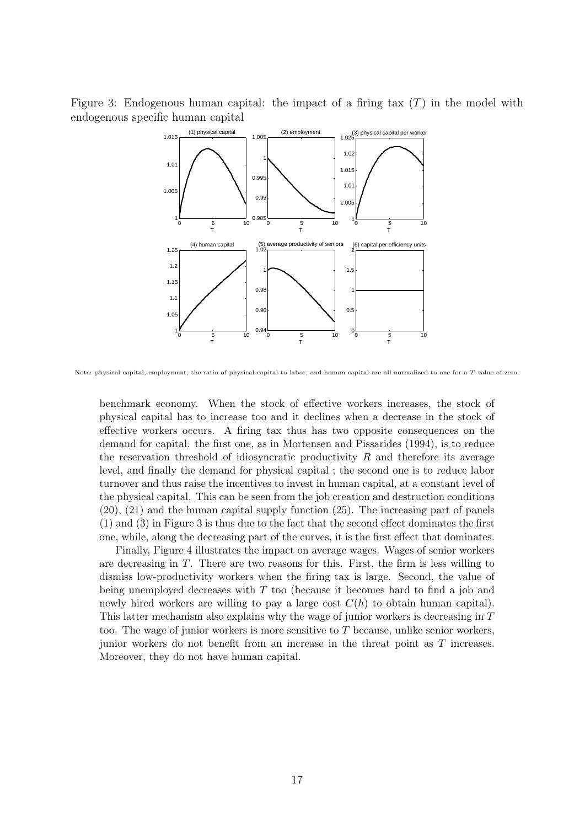Figure 3: Endogenous human capital: the impact of a firing tax  $(T)$  in the model with endogenous specific human capital



Note: physical capital, employment, the ratio of physical capital to labor, and human capital are all normalized to one for a  $T$  value of zero.

benchmark economy. When the stock of effective workers increases, the stock of physical capital has to increase too and it declines when a decrease in the stock of effective workers occurs. A firing tax thus has two opposite consequences on the demand for capital: the first one, as in Mortensen and Pissarides (1994), is to reduce the reservation threshold of idiosyncratic productivity  $R$  and therefore its average level, and finally the demand for physical capital ; the second one is to reduce labor turnover and thus raise the incentives to invest in human capital, at a constant level of the physical capital. This can be seen from the job creation and destruction conditions (20), (21) and the human capital supply function (25). The increasing part of panels (1) and (3) in Figure 3 is thus due to the fact that the second effect dominates the first one, while, along the decreasing part of the curves, it is the first effect that dominates.

Finally, Figure 4 illustrates the impact on average wages. Wages of senior workers are decreasing in  $T$ . There are two reasons for this. First, the firm is less willing to dismiss low-productivity workers when the firing tax is large. Second, the value of being unemployed decreases with  $T$  too (because it becomes hard to find a job and newly hired workers are willing to pay a large cost  $C(h)$  to obtain human capital). This latter mechanism also explains why the wage of junior workers is decreasing in T too. The wage of junior workers is more sensitive to  $T$  because, unlike senior workers, junior workers do not benefit from an increase in the threat point as T increases. Moreover, they do not have human capital.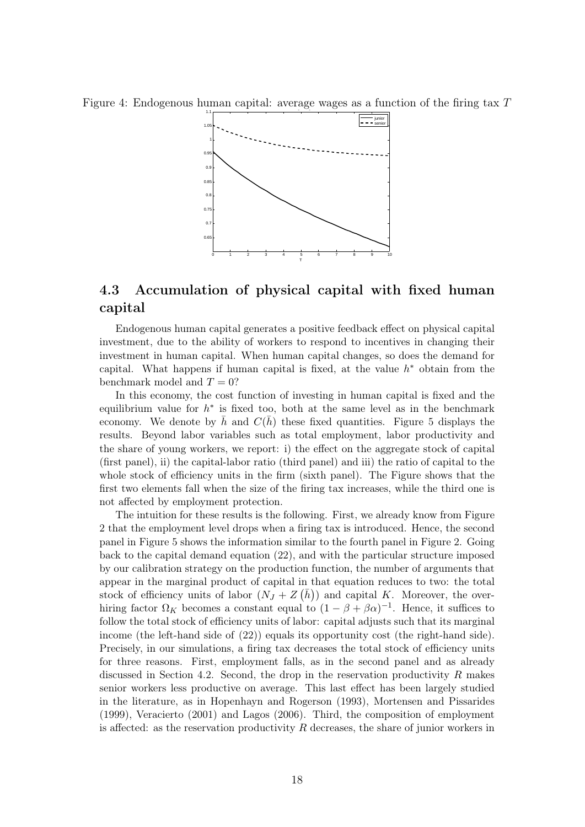Figure 4: Endogenous human capital: average wages as a function of the firing tax  $T$ 



### 4.3 Accumulation of physical capital with fixed human capital

Endogenous human capital generates a positive feedback effect on physical capital investment, due to the ability of workers to respond to incentives in changing their investment in human capital. When human capital changes, so does the demand for capital. What happens if human capital is fixed, at the value  $h^*$  obtain from the benchmark model and  $T = 0$ ?

In this economy, the cost function of investing in human capital is fixed and the equilibrium value for  $h^*$  is fixed too, both at the same level as in the benchmark economy. We denote by h and  $C(h)$  these fixed quantities. Figure 5 displays the results. Beyond labor variables such as total employment, labor productivity and the share of young workers, we report: i) the effect on the aggregate stock of capital (first panel), ii) the capital-labor ratio (third panel) and iii) the ratio of capital to the whole stock of efficiency units in the firm (sixth panel). The Figure shows that the first two elements fall when the size of the firing tax increases, while the third one is not affected by employment protection.

The intuition for these results is the following. First, we already know from Figure 2 that the employment level drops when a firing tax is introduced. Hence, the second panel in Figure 5 shows the information similar to the fourth panel in Figure 2. Going back to the capital demand equation (22), and with the particular structure imposed by our calibration strategy on the production function, the number of arguments that appear in the marginal product of capital in that equation reduces to two: the total stock of efficiency units of labor  $(N_J + Z(\overline{h}))$  and capital K. Moreover, the overhiring factor  $\Omega_K$  becomes a constant equal to  $(1 - \beta + \beta \alpha)^{-1}$ . Hence, it suffices to follow the total stock of efficiency units of labor: capital adjusts such that its marginal income (the left-hand side of (22)) equals its opportunity cost (the right-hand side). Precisely, in our simulations, a firing tax decreases the total stock of efficiency units for three reasons. First, employment falls, as in the second panel and as already discussed in Section 4.2. Second, the drop in the reservation productivity  $R$  makes senior workers less productive on average. This last effect has been largely studied in the literature, as in Hopenhayn and Rogerson (1993), Mortensen and Pissarides (1999), Veracierto (2001) and Lagos (2006). Third, the composition of employment is affected: as the reservation productivity  $R$  decreases, the share of junior workers in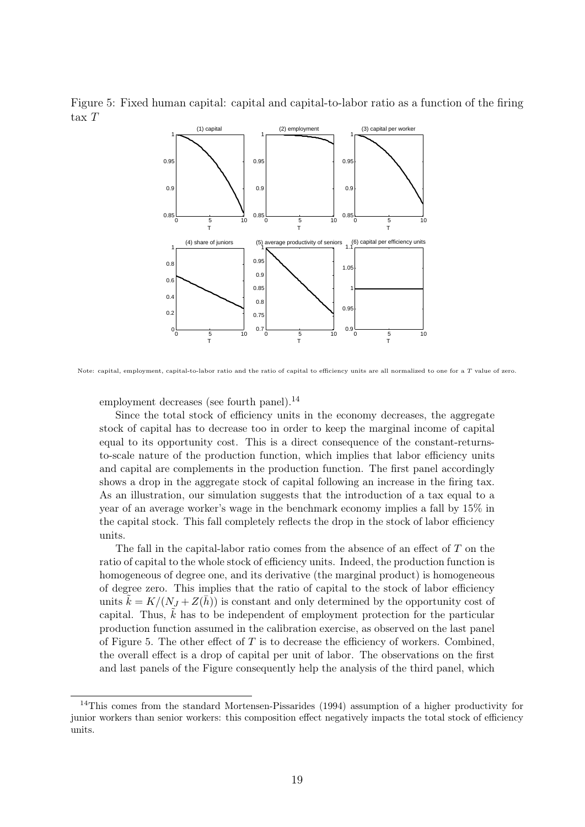Figure 5: Fixed human capital: capital and capital-to-labor ratio as a function of the firing tax T



Note: capital, employment, capital-to-labor ratio and the ratio of capital to efficiency units are all normalized to one for a  $T$  value of zero.

employment decreases (see fourth panel).<sup>14</sup>

Since the total stock of efficiency units in the economy decreases, the aggregate stock of capital has to decrease too in order to keep the marginal income of capital equal to its opportunity cost. This is a direct consequence of the constant-returnsto-scale nature of the production function, which implies that labor efficiency units and capital are complements in the production function. The first panel accordingly shows a drop in the aggregate stock of capital following an increase in the firing tax. As an illustration, our simulation suggests that the introduction of a tax equal to a year of an average worker's wage in the benchmark economy implies a fall by 15% in the capital stock. This fall completely reflects the drop in the stock of labor efficiency units.

The fall in the capital-labor ratio comes from the absence of an effect of  $T$  on the ratio of capital to the whole stock of efficiency units. Indeed, the production function is homogeneous of degree one, and its derivative (the marginal product) is homogeneous of degree zero. This implies that the ratio of capital to the stock of labor efficiency units  $k = K/(N_J + Z(\bar{h}))$  is constant and only determined by the opportunity cost of capital. Thus,  $k$  has to be independent of employment protection for the particular production function assumed in the calibration exercise, as observed on the last panel of Figure 5. The other effect of  $T$  is to decrease the efficiency of workers. Combined, the overall effect is a drop of capital per unit of labor. The observations on the first and last panels of the Figure consequently help the analysis of the third panel, which

<sup>&</sup>lt;sup>14</sup>This comes from the standard Mortensen-Pissarides (1994) assumption of a higher productivity for junior workers than senior workers: this composition effect negatively impacts the total stock of efficiency units.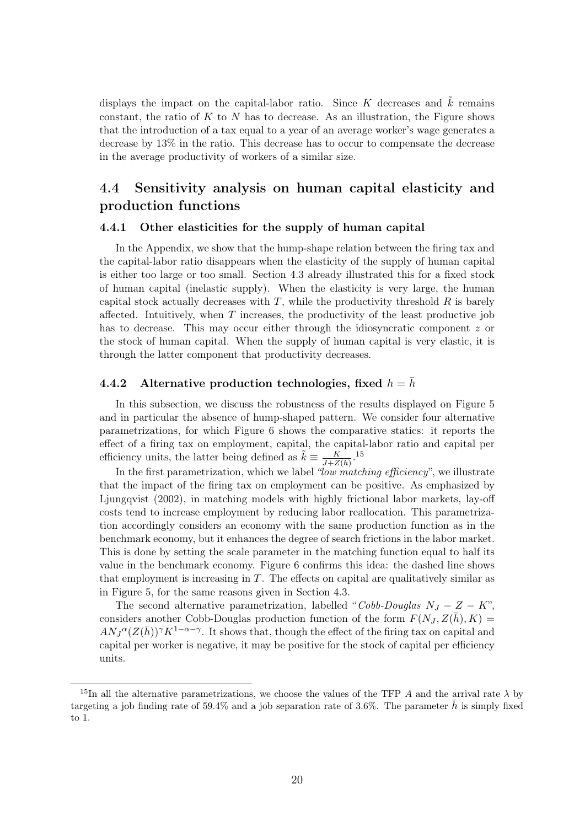displays the impact on the capital-labor ratio. Since K decreases and  $\tilde{k}$  remains constant, the ratio of  $K$  to  $N$  has to decrease. As an illustration, the Figure shows that the introduction of a tax equal to a year of an average worker's wage generates a decrease by 13% in the ratio. This decrease has to occur to compensate the decrease in the average productivity of workers of a similar size.

### 4.4 Sensitivity analysis on human capital elasticity and production functions

#### 4.4.1 Other elasticities for the supply of human capital

In the Appendix, we show that the hump-shape relation between the firing tax and the capital-labor ratio disappears when the elasticity of the supply of human capital is either too large or too small. Section 4.3 already illustrated this for a fixed stock of human capital (inelastic supply). When the elasticity is very large, the human capital stock actually decreases with  $T$ , while the productivity threshold  $R$  is barely affected. Intuitively, when  $T$  increases, the productivity of the least productive job has to decrease. This may occur either through the idiosyncratic component z or the stock of human capital. When the supply of human capital is very elastic, it is through the latter component that productivity decreases.

### 4.4.2 Alternative production technologies, fixed  $h = \bar{h}$

In this subsection, we discuss the robustness of the results displayed on Figure 5 and in particular the absence of hump-shaped pattern. We consider four alternative parametrizations, for which Figure 6 shows the comparative statics: it reports the effect of a firing tax on employment, capital, the capital-labor ratio and capital per efficiency units, the latter being defined as  $\tilde{k} \equiv \frac{K}{J + Z(\tilde{h})}$ .<sup>15</sup>

In the first parametrization, which we label "low matching efficiency", we illustrate that the impact of the firing tax on employment can be positive. As emphasized by Ljungqvist (2002), in matching models with highly frictional labor markets, lay-off costs tend to increase employment by reducing labor reallocation. This parametrization accordingly considers an economy with the same production function as in the benchmark economy, but it enhances the degree of search frictions in the labor market. This is done by setting the scale parameter in the matching function equal to half its value in the benchmark economy. Figure 6 confirms this idea: the dashed line shows that employment is increasing in  $T$ . The effects on capital are qualitatively similar as in Figure 5, for the same reasons given in Section 4.3.

The second alternative parametrization, labelled "Cobb-Douglas  $N_J - Z - K$ ". considers another Cobb-Douglas production function of the form  $F(N_J, Z(\bar{h}), K)$  $AN_J^{\alpha}(Z(\bar{h}))^{\gamma}K^{1-\alpha-\gamma}$ . It shows that, though the effect of the firing tax on capital and capital per worker is negative, it may be positive for the stock of capital per efficiency units.

<sup>&</sup>lt;sup>15</sup>In all the alternative parametrizations, we choose the values of the TFP A and the arrival rate  $\lambda$  by targeting a job finding rate of  $59.4\%$  and a job separation rate of 3.6%. The parameter h is simply fixed to 1.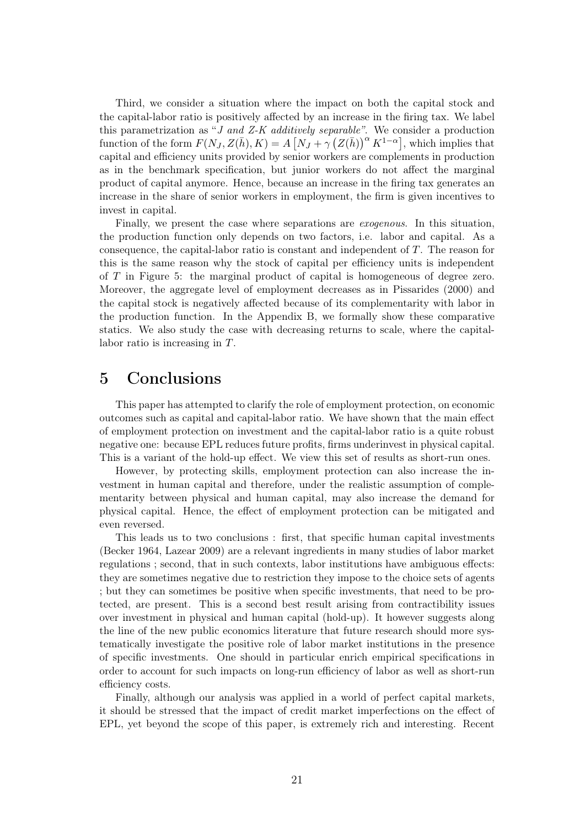Third, we consider a situation where the impact on both the capital stock and the capital-labor ratio is positively affected by an increase in the firing tax. We label this parametrization as "J and Z-K additively separable". We consider a production function of the form  $F(N_J, Z(\bar{h}), K) = A \left[ N_J + \gamma \left( Z(\bar{h}) \right)^{\alpha} K^{1-\alpha} \right]$ , which implies that capital and efficiency units provided by senior workers are complements in production as in the benchmark specification, but junior workers do not affect the marginal product of capital anymore. Hence, because an increase in the firing tax generates an increase in the share of senior workers in employment, the firm is given incentives to invest in capital.

Finally, we present the case where separations are exogenous. In this situation, the production function only depends on two factors, i.e. labor and capital. As a consequence, the capital-labor ratio is constant and independent of T. The reason for this is the same reason why the stock of capital per efficiency units is independent of T in Figure 5: the marginal product of capital is homogeneous of degree zero. Moreover, the aggregate level of employment decreases as in Pissarides (2000) and the capital stock is negatively affected because of its complementarity with labor in the production function. In the Appendix B, we formally show these comparative statics. We also study the case with decreasing returns to scale, where the capitallabor ratio is increasing in T.

### 5 Conclusions

This paper has attempted to clarify the role of employment protection, on economic outcomes such as capital and capital-labor ratio. We have shown that the main effect of employment protection on investment and the capital-labor ratio is a quite robust negative one: because EPL reduces future profits, firms underinvest in physical capital. This is a variant of the hold-up effect. We view this set of results as short-run ones.

However, by protecting skills, employment protection can also increase the investment in human capital and therefore, under the realistic assumption of complementarity between physical and human capital, may also increase the demand for physical capital. Hence, the effect of employment protection can be mitigated and even reversed.

This leads us to two conclusions : first, that specific human capital investments (Becker 1964, Lazear 2009) are a relevant ingredients in many studies of labor market regulations ; second, that in such contexts, labor institutions have ambiguous effects: they are sometimes negative due to restriction they impose to the choice sets of agents ; but they can sometimes be positive when specific investments, that need to be protected, are present. This is a second best result arising from contractibility issues over investment in physical and human capital (hold-up). It however suggests along the line of the new public economics literature that future research should more systematically investigate the positive role of labor market institutions in the presence of specific investments. One should in particular enrich empirical specifications in order to account for such impacts on long-run efficiency of labor as well as short-run efficiency costs.

Finally, although our analysis was applied in a world of perfect capital markets, it should be stressed that the impact of credit market imperfections on the effect of EPL, yet beyond the scope of this paper, is extremely rich and interesting. Recent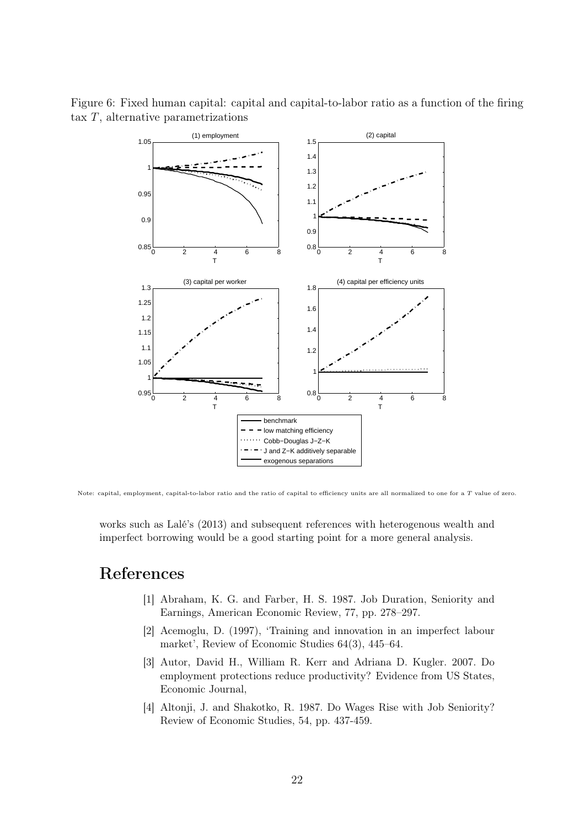



Note: capital, employment, capital-to-labor ratio and the ratio of capital to efficiency units are all normalized to one for a  $T$  value of zero.

works such as Lalé's (2013) and subsequent references with heterogenous wealth and imperfect borrowing would be a good starting point for a more general analysis.

### References

- [1] Abraham, K. G. and Farber, H. S. 1987. Job Duration, Seniority and Earnings, American Economic Review, 77, pp. 278–297.
- [2] Acemoglu, D. (1997), 'Training and innovation in an imperfect labour market', Review of Economic Studies 64(3), 445–64.
- [3] Autor, David H., William R. Kerr and Adriana D. Kugler. 2007. Do employment protections reduce productivity? Evidence from US States, Economic Journal,
- [4] Altonji, J. and Shakotko, R. 1987. Do Wages Rise with Job Seniority? Review of Economic Studies, 54, pp. 437-459.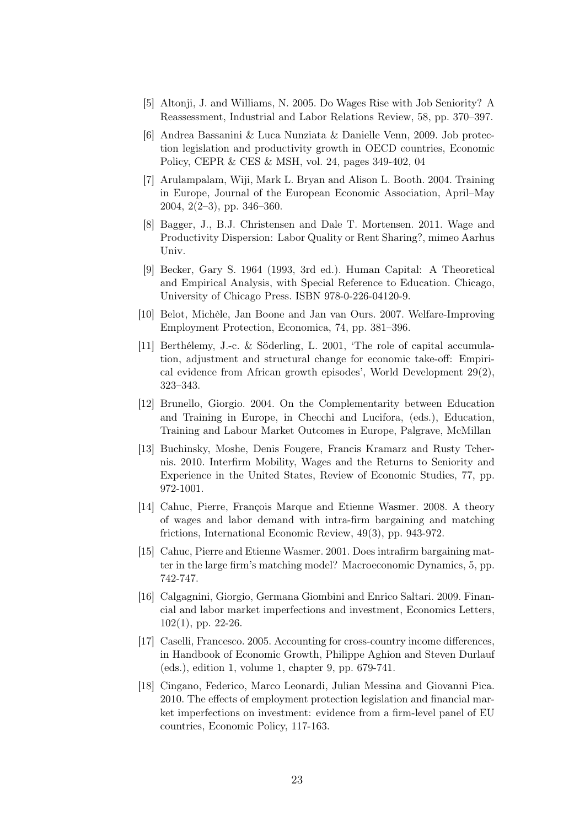- [5] Altonji, J. and Williams, N. 2005. Do Wages Rise with Job Seniority? A Reassessment, Industrial and Labor Relations Review, 58, pp. 370–397.
- [6] Andrea Bassanini & Luca Nunziata & Danielle Venn, 2009. Job protection legislation and productivity growth in OECD countries, Economic Policy, CEPR & CES & MSH, vol. 24, pages 349-402, 04
- [7] Arulampalam, Wiji, Mark L. Bryan and Alison L. Booth. 2004. Training in Europe, Journal of the European Economic Association, April–May 2004, 2(2–3), pp. 346–360.
- [8] Bagger, J., B.J. Christensen and Dale T. Mortensen. 2011. Wage and Productivity Dispersion: Labor Quality or Rent Sharing?, mimeo Aarhus Univ.
- [9] Becker, Gary S. 1964 (1993, 3rd ed.). Human Capital: A Theoretical and Empirical Analysis, with Special Reference to Education. Chicago, University of Chicago Press. ISBN 978-0-226-04120-9.
- [10] Belot, Michèle, Jan Boone and Jan van Ours. 2007. Welfare-Improving Employment Protection, Economica, 74, pp. 381–396.
- [11] Berthélemy, J.-c. & Söderling, L. 2001, 'The role of capital accumulation, adjustment and structural change for economic take-off: Empirical evidence from African growth episodes', World Development 29(2), 323–343.
- [12] Brunello, Giorgio. 2004. On the Complementarity between Education and Training in Europe, in Checchi and Lucifora, (eds.), Education, Training and Labour Market Outcomes in Europe, Palgrave, McMillan
- [13] Buchinsky, Moshe, Denis Fougere, Francis Kramarz and Rusty Tchernis. 2010. Interfirm Mobility, Wages and the Returns to Seniority and Experience in the United States, Review of Economic Studies, 77, pp. 972-1001.
- [14] Cahuc, Pierre, François Marque and Etienne Wasmer. 2008. A theory of wages and labor demand with intra-firm bargaining and matching frictions, International Economic Review, 49(3), pp. 943-972.
- [15] Cahuc, Pierre and Etienne Wasmer. 2001. Does intrafirm bargaining matter in the large firm's matching model? Macroeconomic Dynamics, 5, pp. 742-747.
- [16] Calgagnini, Giorgio, Germana Giombini and Enrico Saltari. 2009. Financial and labor market imperfections and investment, Economics Letters, 102(1), pp. 22-26.
- [17] Caselli, Francesco. 2005. Accounting for cross-country income differences, in Handbook of Economic Growth, Philippe Aghion and Steven Durlauf (eds.), edition 1, volume 1, chapter 9, pp. 679-741.
- [18] Cingano, Federico, Marco Leonardi, Julian Messina and Giovanni Pica. 2010. The effects of employment protection legislation and financial market imperfections on investment: evidence from a firm-level panel of EU countries, Economic Policy, 117-163.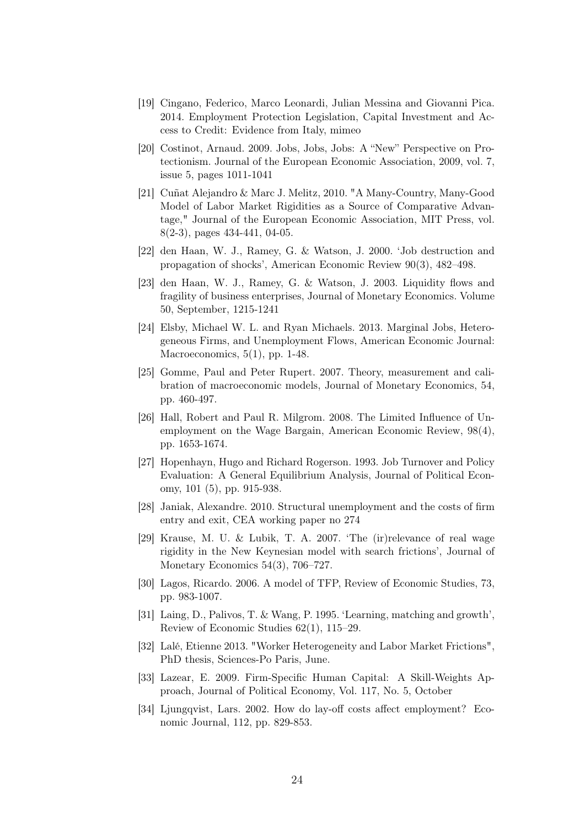- [19] Cingano, Federico, Marco Leonardi, Julian Messina and Giovanni Pica. 2014. Employment Protection Legislation, Capital Investment and Access to Credit: Evidence from Italy, mimeo
- [20] Costinot, Arnaud. 2009. Jobs, Jobs, Jobs: A "New" Perspective on Protectionism. Journal of the European Economic Association, 2009, vol. 7, issue 5, pages 1011-1041
- [21] Cuñat Alejandro & Marc J. Melitz, 2010. "A Many-Country, Many-Good Model of Labor Market Rigidities as a Source of Comparative Advantage," Journal of the European Economic Association, MIT Press, vol. 8(2-3), pages 434-441, 04-05.
- [22] den Haan, W. J., Ramey, G. & Watson, J. 2000. 'Job destruction and propagation of shocks', American Economic Review 90(3), 482–498.
- [23] den Haan, W. J., Ramey, G. & Watson, J. 2003. Liquidity flows and fragility of business enterprises, Journal of Monetary Economics. Volume 50, September, 1215-1241
- [24] Elsby, Michael W. L. and Ryan Michaels. 2013. Marginal Jobs, Heterogeneous Firms, and Unemployment Flows, American Economic Journal: Macroeconomics, 5(1), pp. 1-48.
- [25] Gomme, Paul and Peter Rupert. 2007. Theory, measurement and calibration of macroeconomic models, Journal of Monetary Economics, 54, pp. 460-497.
- [26] Hall, Robert and Paul R. Milgrom. 2008. The Limited Influence of Unemployment on the Wage Bargain, American Economic Review, 98(4), pp. 1653-1674.
- [27] Hopenhayn, Hugo and Richard Rogerson. 1993. Job Turnover and Policy Evaluation: A General Equilibrium Analysis, Journal of Political Economy, 101 (5), pp. 915-938.
- [28] Janiak, Alexandre. 2010. Structural unemployment and the costs of firm entry and exit, CEA working paper no 274
- [29] Krause, M. U. & Lubik, T. A. 2007. 'The (ir)relevance of real wage rigidity in the New Keynesian model with search frictions', Journal of Monetary Economics 54(3), 706–727.
- [30] Lagos, Ricardo. 2006. A model of TFP, Review of Economic Studies, 73, pp. 983-1007.
- [31] Laing, D., Palivos, T. & Wang, P. 1995. 'Learning, matching and growth', Review of Economic Studies 62(1), 115–29.
- [32] Lalé, Etienne 2013. "Worker Heterogeneity and Labor Market Frictions", PhD thesis, Sciences-Po Paris, June.
- [33] Lazear, E. 2009. Firm-Specific Human Capital: A Skill-Weights Approach, Journal of Political Economy, Vol. 117, No. 5, October
- [34] Ljungqvist, Lars. 2002. How do lay-off costs affect employment? Economic Journal, 112, pp. 829-853.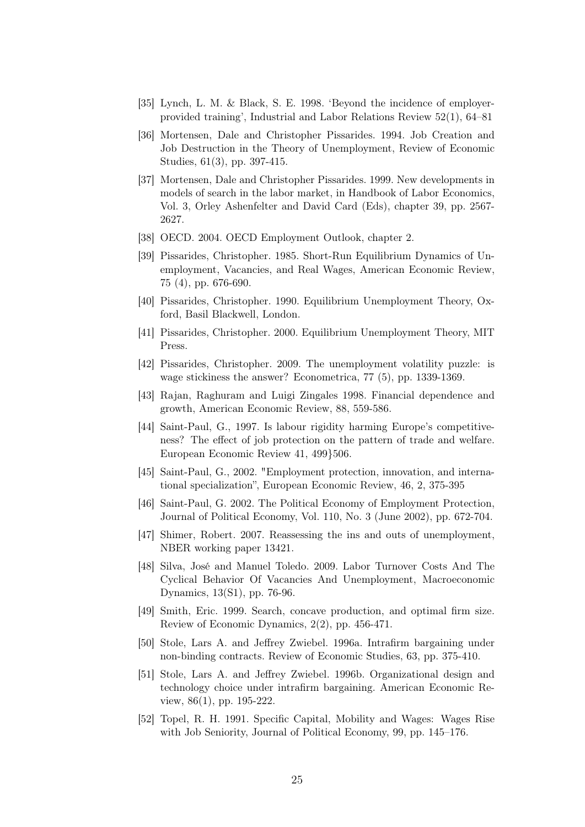- [35] Lynch, L. M. & Black, S. E. 1998. 'Beyond the incidence of employerprovided training', Industrial and Labor Relations Review 52(1), 64–81
- [36] Mortensen, Dale and Christopher Pissarides. 1994. Job Creation and Job Destruction in the Theory of Unemployment, Review of Economic Studies, 61(3), pp. 397-415.
- [37] Mortensen, Dale and Christopher Pissarides. 1999. New developments in models of search in the labor market, in Handbook of Labor Economics, Vol. 3, Orley Ashenfelter and David Card (Eds), chapter 39, pp. 2567- 2627.
- [38] OECD. 2004. OECD Employment Outlook, chapter 2.
- [39] Pissarides, Christopher. 1985. Short-Run Equilibrium Dynamics of Unemployment, Vacancies, and Real Wages, American Economic Review, 75 (4), pp. 676-690.
- [40] Pissarides, Christopher. 1990. Equilibrium Unemployment Theory, Oxford, Basil Blackwell, London.
- [41] Pissarides, Christopher. 2000. Equilibrium Unemployment Theory, MIT Press.
- [42] Pissarides, Christopher. 2009. The unemployment volatility puzzle: is wage stickiness the answer? Econometrica, 77 (5), pp. 1339-1369.
- [43] Rajan, Raghuram and Luigi Zingales 1998. Financial dependence and growth, American Economic Review, 88, 559-586.
- [44] Saint-Paul, G., 1997. Is labour rigidity harming Europe's competitiveness? The effect of job protection on the pattern of trade and welfare. European Economic Review 41, 499}506.
- [45] Saint-Paul, G., 2002. "Employment protection, innovation, and international specialization", European Economic Review, 46, 2, 375-395
- [46] Saint-Paul, G. 2002. The Political Economy of Employment Protection, Journal of Political Economy, Vol. 110, No. 3 (June 2002), pp. 672-704.
- [47] Shimer, Robert. 2007. Reassessing the ins and outs of unemployment, NBER working paper 13421.
- [48] Silva, José and Manuel Toledo. 2009. Labor Turnover Costs And The Cyclical Behavior Of Vacancies And Unemployment, Macroeconomic Dynamics, 13(S1), pp. 76-96.
- [49] Smith, Eric. 1999. Search, concave production, and optimal firm size. Review of Economic Dynamics, 2(2), pp. 456-471.
- [50] Stole, Lars A. and Jeffrey Zwiebel. 1996a. Intrafirm bargaining under non-binding contracts. Review of Economic Studies, 63, pp. 375-410.
- [51] Stole, Lars A. and Jeffrey Zwiebel. 1996b. Organizational design and technology choice under intrafirm bargaining. American Economic Review, 86(1), pp. 195-222.
- [52] Topel, R. H. 1991. Specific Capital, Mobility and Wages: Wages Rise with Job Seniority, Journal of Political Economy, 99, pp. 145–176.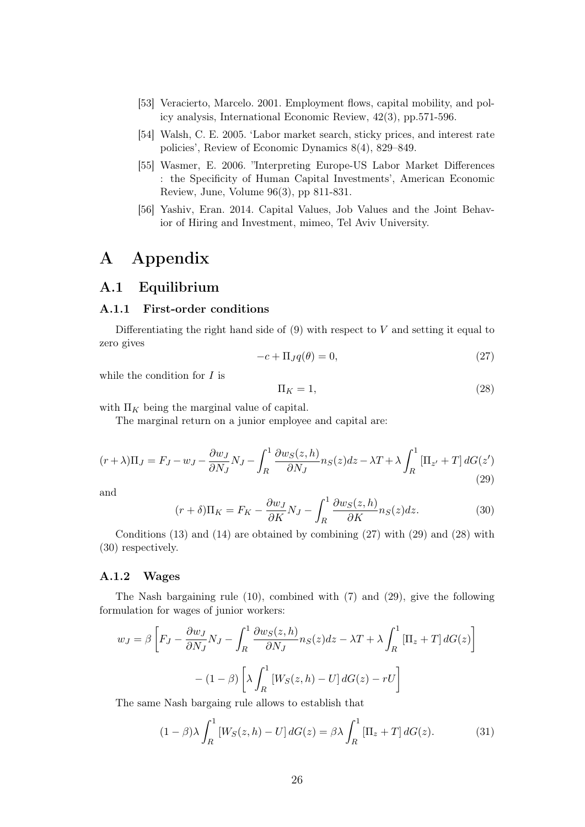- [53] Veracierto, Marcelo. 2001. Employment flows, capital mobility, and policy analysis, International Economic Review, 42(3), pp.571-596.
- [54] Walsh, C. E. 2005. 'Labor market search, sticky prices, and interest rate policies', Review of Economic Dynamics 8(4), 829–849.
- [55] Wasmer, E. 2006. "Interpreting Europe-US Labor Market Differences : the Specificity of Human Capital Investments', American Economic Review, June, Volume 96(3), pp 811-831.
- [56] Yashiv, Eran. 2014. Capital Values, Job Values and the Joint Behavior of Hiring and Investment, mimeo, Tel Aviv University.

### A Appendix

### A.1 Equilibrium

#### A.1.1 First-order conditions

Differentiating the right hand side of  $(9)$  with respect to V and setting it equal to zero gives

$$
-c + \Pi_J q(\theta) = 0,\t\t(27)
$$

while the condition for  $I$  is

$$
\Pi_K = 1,\tag{28}
$$

with  $\Pi_K$  being the marginal value of capital.

The marginal return on a junior employee and capital are:

$$
(r+\lambda)\Pi_J = F_J - w_J - \frac{\partial w_J}{\partial N_J}N_J - \int_R^1 \frac{\partial w_S(z,h)}{\partial N_J} n_S(z)dz - \lambda T + \lambda \int_R^1 \left[\Pi_{z'} + T\right] dG(z')
$$
\n(29)

and

$$
(r+\delta)\Pi_K = F_K - \frac{\partial w_J}{\partial K} N_J - \int_R^1 \frac{\partial w_S(z,h)}{\partial K} n_S(z) dz.
$$
 (30)

Conditions (13) and (14) are obtained by combining (27) with (29) and (28) with (30) respectively.

#### A.1.2 Wages

The Nash bargaining rule (10), combined with (7) and (29), give the following formulation for wages of junior workers:

$$
w_J = \beta \left[ F_J - \frac{\partial w_J}{\partial N_J} N_J - \int_R^1 \frac{\partial w_S(z, h)}{\partial N_J} n_S(z) dz - \lambda T + \lambda \int_R^1 \left[ \Pi_z + T \right] dG(z) \right]
$$

$$
- (1 - \beta) \left[ \lambda \int_R^1 \left[ W_S(z, h) - U \right] dG(z) - rU \right]
$$

The same Nash bargaing rule allows to establish that

$$
(1 - \beta)\lambda \int_{R}^{1} \left[W_{S}(z, h) - U\right] dG(z) = \beta \lambda \int_{R}^{1} \left[\Pi_{z} + T\right] dG(z). \tag{31}
$$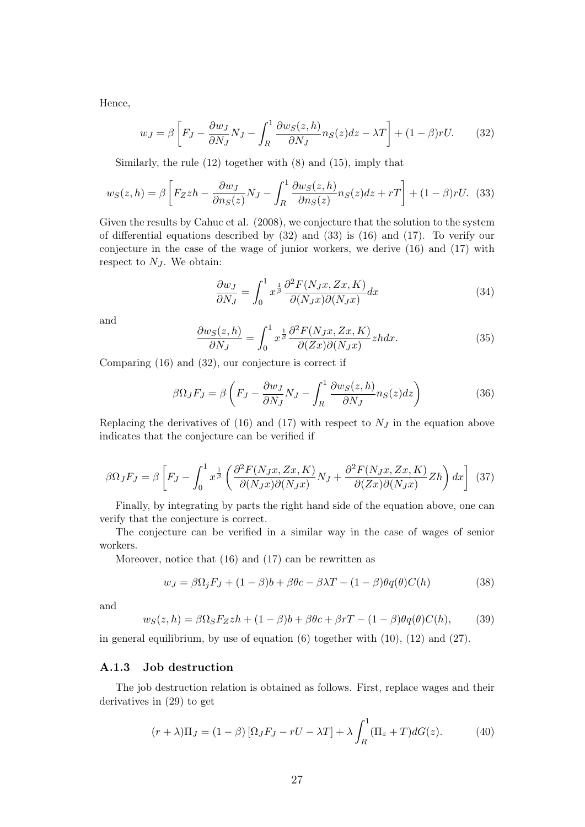Hence,

$$
w_J = \beta \left[ F_J - \frac{\partial w_J}{\partial N_J} N_J - \int_R^1 \frac{\partial w_S(z, h)}{\partial N_J} n_S(z) dz - \lambda T \right] + (1 - \beta) rU. \tag{32}
$$

Similarly, the rule (12) together with (8) and (15), imply that

$$
w_S(z,h) = \beta \left[ F_Z zh - \frac{\partial w_J}{\partial n_S(z)} N_J - \int_R^1 \frac{\partial w_S(z,h)}{\partial n_S(z)} n_S(z) dz + rT \right] + (1 - \beta) rU. \tag{33}
$$

Given the results by Cahuc et al. (2008), we conjecture that the solution to the system of differential equations described by  $(32)$  and  $(33)$  is  $(16)$  and  $(17)$ . To verify our conjecture in the case of the wage of junior workers, we derive (16) and (17) with respect to  $N_J$ . We obtain:

$$
\frac{\partial w_J}{\partial N_J} = \int_0^1 x^{\frac{1}{\beta}} \frac{\partial^2 F(N_J x, Z x, K)}{\partial (N_J x) \partial (N_J x)} dx \tag{34}
$$

and

$$
\frac{\partial w_S(z, h)}{\partial N_J} = \int_0^1 x^{\frac{1}{\beta}} \frac{\partial^2 F(N_J x, Zx, K)}{\partial (Zx) \partial (N_J x)} z h dx. \tag{35}
$$

Comparing (16) and (32), our conjecture is correct if

$$
\beta \Omega_J F_J = \beta \left( F_J - \frac{\partial w_J}{\partial N_J} N_J - \int_R^1 \frac{\partial w_S(z, h)}{\partial N_J} n_S(z) dz \right) \tag{36}
$$

Replacing the derivatives of (16) and (17) with respect to  $N_J$  in the equation above indicates that the conjecture can be verified if

$$
\beta \Omega_J F_J = \beta \left[ F_J - \int_0^1 x^{\frac{1}{\beta}} \left( \frac{\partial^2 F(N_J x, Zx, K)}{\partial (N_J x) \partial (N_J x)} N_J + \frac{\partial^2 F(N_J x, Zx, K)}{\partial (Zx) \partial (N_J x)} Zh \right) dx \right] (37)
$$

Finally, by integrating by parts the right hand side of the equation above, one can verify that the conjecture is correct.

The conjecture can be verified in a similar way in the case of wages of senior workers.

Moreover, notice that (16) and (17) can be rewritten as

$$
w_J = \beta \Omega_j F_J + (1 - \beta)b + \beta \theta c - \beta \lambda T - (1 - \beta)\theta q(\theta)C(h) \tag{38}
$$

and

$$
w_S(z,h) = \beta \Omega_S F_Z z h + (1 - \beta)b + \beta \theta c + \beta r T - (1 - \beta)\theta q(\theta) C(h), \tag{39}
$$

in general equilibrium, by use of equation (6) together with (10), (12) and (27).

#### A.1.3 Job destruction

The job destruction relation is obtained as follows. First, replace wages and their derivatives in (29) to get

$$
(r + \lambda)\Pi_J = (1 - \beta) [\Omega_J F_J - rU - \lambda T] + \lambda \int_R^1 (\Pi_z + T) dG(z).
$$
 (40)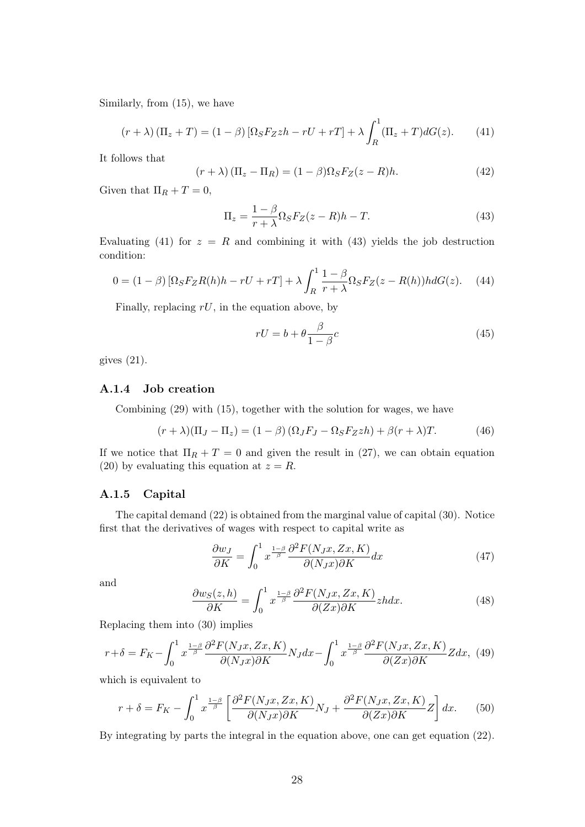Similarly, from (15), we have

$$
(r+\lambda)\left(\Pi_z+T\right) = (1-\beta)\left[\Omega_S F_Z z h - r U + r T\right] + \lambda \int_R^1 (\Pi_z+T) dG(z). \tag{41}
$$

It follows that

$$
(r + \lambda) (\Pi_z - \Pi_R) = (1 - \beta) \Omega_S F_Z(z - R) h.
$$
 (42)

Given that  $\Pi_R + T = 0$ ,

$$
\Pi_z = \frac{1 - \beta}{r + \lambda} \Omega_S F_Z(z - R) h - T.
$$
\n(43)

Evaluating (41) for  $z = R$  and combining it with (43) yields the job destruction condition:

$$
0 = (1 - \beta) [\Omega_S F_Z R(h) h - rU + rT] + \lambda \int_R^1 \frac{1 - \beta}{r + \lambda} \Omega_S F_Z(z - R(h)) h dG(z). \tag{44}
$$

Finally, replacing  $rU$ , in the equation above, by

$$
rU = b + \theta \frac{\beta}{1 - \beta}c\tag{45}
$$

gives (21).

#### A.1.4 Job creation

Combining (29) with (15), together with the solution for wages, we have

$$
(r + \lambda)(\Pi_J - \Pi_z) = (1 - \beta)(\Omega_J F_J - \Omega_S F_Z zh) + \beta(r + \lambda)T.
$$
 (46)

If we notice that  $\Pi_R + T = 0$  and given the result in (27), we can obtain equation (20) by evaluating this equation at  $z = R$ .

#### A.1.5 Capital

The capital demand (22) is obtained from the marginal value of capital (30). Notice first that the derivatives of wages with respect to capital write as

$$
\frac{\partial w_J}{\partial K} = \int_0^1 x^{\frac{1-\beta}{\beta}} \frac{\partial^2 F(N_J x, Zx, K)}{\partial (N_J x) \partial K} dx \tag{47}
$$

and

$$
\frac{\partial w_S(z, h)}{\partial K} = \int_0^1 x^{\frac{1-\beta}{\beta}} \frac{\partial^2 F(N_J x, Zx, K)}{\partial (Zx) \partial K} z h dx.
$$
 (48)

Replacing them into (30) implies

$$
r + \delta = F_K - \int_0^1 x^{\frac{1-\beta}{\beta}} \frac{\partial^2 F(N_J x, Zx, K)}{\partial (N_J x) \partial K} N_J dx - \int_0^1 x^{\frac{1-\beta}{\beta}} \frac{\partial^2 F(N_J x, Zx, K)}{\partial (Zx) \partial K} Z dx, \tag{49}
$$

which is equivalent to

$$
r + \delta = F_K - \int_0^1 x^{\frac{1-\beta}{\beta}} \left[ \frac{\partial^2 F(N_J x, Zx, K)}{\partial (N_J x) \partial K} N_J + \frac{\partial^2 F(N_J x, Zx, K)}{\partial (Zx) \partial K} Z \right] dx. \tag{50}
$$

By integrating by parts the integral in the equation above, one can get equation (22).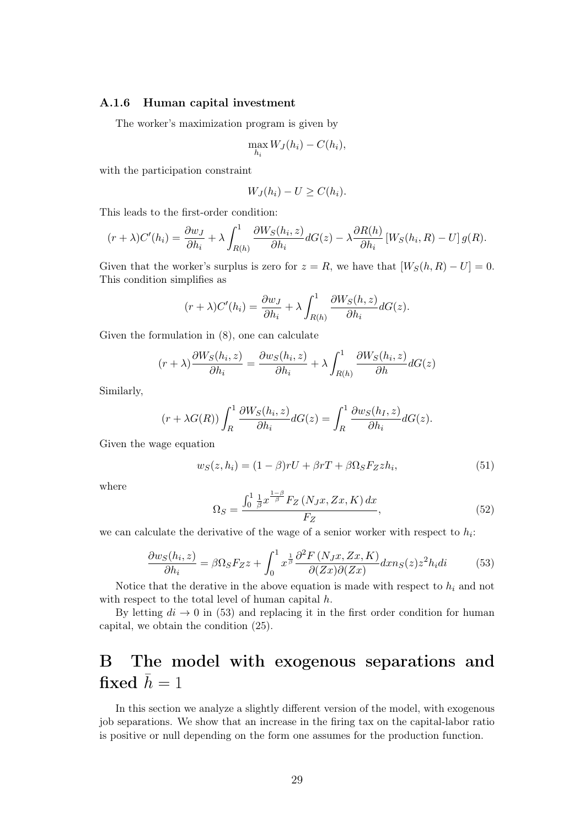#### A.1.6 Human capital investment

The worker's maximization program is given by

$$
\max_{h_i} W_J(h_i) - C(h_i),
$$

with the participation constraint

$$
W_J(h_i) - U \ge C(h_i).
$$

This leads to the first-order condition:

$$
(r+\lambda)C'(h_i) = \frac{\partial w_J}{\partial h_i} + \lambda \int_{R(h)}^1 \frac{\partial W_S(h_i, z)}{\partial h_i} dG(z) - \lambda \frac{\partial R(h)}{\partial h_i} \left[ W_S(h_i, R) - U \right] g(R).
$$

Given that the worker's surplus is zero for  $z = R$ , we have that  $[W_S(h, R) - U] = 0$ . This condition simplifies as

$$
(r+\lambda)C'(h_i) = \frac{\partial w_J}{\partial h_i} + \lambda \int_{R(h)}^1 \frac{\partial W_S(h,z)}{\partial h_i} dG(z).
$$

Given the formulation in (8), one can calculate

$$
(r+\lambda)\frac{\partial W_S(h_i, z)}{\partial h_i} = \frac{\partial w_S(h_i, z)}{\partial h_i} + \lambda \int_{R(h)}^1 \frac{\partial W_S(h_i, z)}{\partial h} dG(z)
$$

Similarly,

$$
(r + \lambda G(R)) \int_R^1 \frac{\partial W_S(h_i, z)}{\partial h_i} dG(z) = \int_R^1 \frac{\partial w_S(h_I, z)}{\partial h_i} dG(z).
$$

Given the wage equation

$$
w_S(z, h_i) = (1 - \beta)rU + \beta rT + \beta \Omega_S F_Z z h_i, \qquad (51)
$$

where

$$
\Omega_S = \frac{\int_0^1 \frac{1}{\beta} x^{\frac{1-\beta}{\beta}} F_Z \left( N_J x, Zx, K \right) dx}{F_Z},\tag{52}
$$

we can calculate the derivative of the wage of a senior worker with respect to  $h_i$ :

$$
\frac{\partial w_S(h_i, z)}{\partial h_i} = \beta \Omega_S F_Z z + \int_0^1 x^{\frac{1}{\beta}} \frac{\partial^2 F\left(N_J x, Zx, K\right)}{\partial (Zx) \partial (Zx)} dx n_S(z) z^2 h_i di \tag{53}
$$

Notice that the derative in the above equation is made with respect to  $h_i$  and not with respect to the total level of human capital  $h$ .

By letting  $di \rightarrow 0$  in (53) and replacing it in the first order condition for human capital, we obtain the condition (25).

# B The model with exogenous separations and fixed  $\bar{h} = 1$

In this section we analyze a slightly different version of the model, with exogenous job separations. We show that an increase in the firing tax on the capital-labor ratio is positive or null depending on the form one assumes for the production function.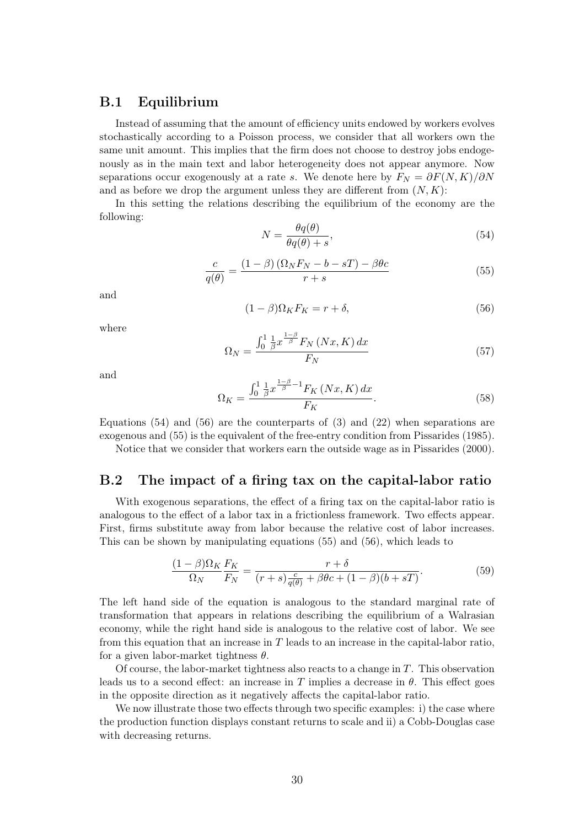### B.1 Equilibrium

Instead of assuming that the amount of efficiency units endowed by workers evolves stochastically according to a Poisson process, we consider that all workers own the same unit amount. This implies that the firm does not choose to destroy jobs endogenously as in the main text and labor heterogeneity does not appear anymore. Now separations occur exogenously at a rate s. We denote here by  $F_N = \partial F(N, K)/\partial N$ and as before we drop the argument unless they are different from  $(N, K)$ :

In this setting the relations describing the equilibrium of the economy are the following:

$$
N = \frac{\theta q(\theta)}{\theta q(\theta) + s},\tag{54}
$$

$$
\frac{c}{q(\theta)} = \frac{(1-\beta)\left(\Omega_N F_N - b - sT\right) - \beta\theta c}{r+s} \tag{55}
$$

and

$$
(1 - \beta)\Omega_K F_K = r + \delta,\tag{56}
$$

where

$$
\Omega_N = \frac{\int_0^1 \frac{1}{\beta} x^{\frac{1-\beta}{\beta}} F_N\left(Nx, K\right) dx}{F_N} \tag{57}
$$

and

$$
\Omega_K = \frac{\int_0^1 \frac{1}{\beta} x^{\frac{1-\beta}{\beta}-1} F_K\left(Nx, K\right) dx}{F_K}.\tag{58}
$$

Equations  $(54)$  and  $(56)$  are the counterparts of  $(3)$  and  $(22)$  when separations are exogenous and (55) is the equivalent of the free-entry condition from Pissarides (1985).

Notice that we consider that workers earn the outside wage as in Pissarides (2000).

#### B.2 The impact of a firing tax on the capital-labor ratio

With exogenous separations, the effect of a firing tax on the capital-labor ratio is analogous to the effect of a labor tax in a frictionless framework. Two effects appear. First, firms substitute away from labor because the relative cost of labor increases. This can be shown by manipulating equations (55) and (56), which leads to

$$
\frac{(1-\beta)\Omega_K}{\Omega_N}\frac{F_K}{F_N} = \frac{r+\delta}{(r+s)\frac{c}{q(\theta)}+\beta\theta c + (1-\beta)(b+sT)}.\tag{59}
$$

The left hand side of the equation is analogous to the standard marginal rate of transformation that appears in relations describing the equilibrium of a Walrasian economy, while the right hand side is analogous to the relative cost of labor. We see from this equation that an increase in T leads to an increase in the capital-labor ratio, for a given labor-market tightness  $\theta$ .

Of course, the labor-market tightness also reacts to a change in  $T$ . This observation leads us to a second effect: an increase in T implies a decrease in  $\theta$ . This effect goes in the opposite direction as it negatively affects the capital-labor ratio.

We now illustrate those two effects through two specific examples: i) the case where the production function displays constant returns to scale and ii) a Cobb-Douglas case with decreasing returns.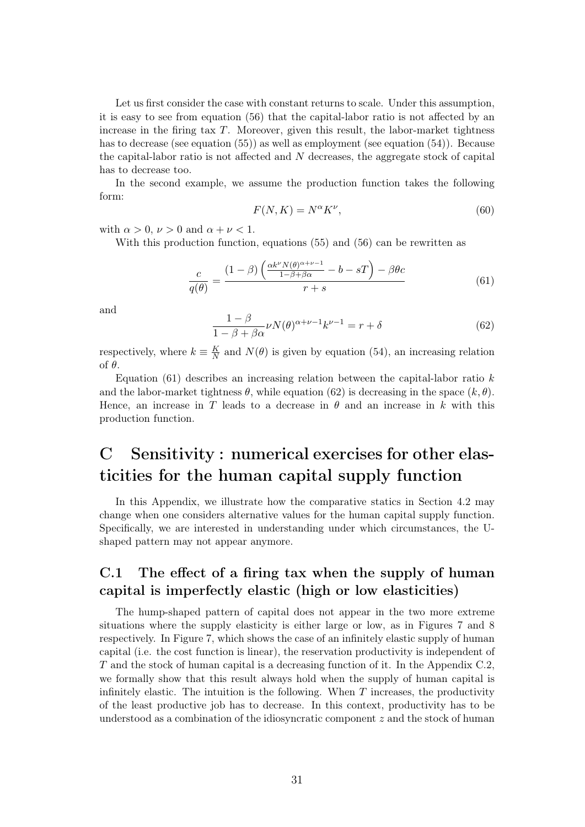Let us first consider the case with constant returns to scale. Under this assumption, it is easy to see from equation (56) that the capital-labor ratio is not affected by an increase in the firing tax  $T$ . Moreover, given this result, the labor-market tightness has to decrease (see equation (55)) as well as employment (see equation (54)). Because the capital-labor ratio is not affected and N decreases, the aggregate stock of capital has to decrease too.

In the second example, we assume the production function takes the following form:

$$
F(N,K) = N^{\alpha}K^{\nu},\tag{60}
$$

with  $\alpha > 0$ ,  $\nu > 0$  and  $\alpha + \nu < 1$ .

With this production function, equations (55) and (56) can be rewritten as

$$
\frac{c}{q(\theta)} = \frac{(1-\beta)\left(\frac{\alpha k^{\nu} N(\theta)^{\alpha+\nu-1}}{1-\beta+\beta\alpha} - b - sT\right) - \beta\theta c}{r+s}
$$
(61)

and

$$
\frac{1-\beta}{1-\beta+\beta\alpha}\nu N(\theta)^{\alpha+\nu-1}k^{\nu-1} = r+\delta
$$
\n(62)

respectively, where  $k \equiv \frac{K}{N}$  $\frac{K}{N}$  and  $N(\theta)$  is given by equation (54), an increasing relation of θ.

Equation  $(61)$  describes an increasing relation between the capital-labor ratio k and the labor-market tightness  $\theta$ , while equation (62) is decreasing in the space  $(k, \theta)$ . Hence, an increase in T leads to a decrease in  $\theta$  and an increase in k with this production function.

# C Sensitivity : numerical exercises for other elasticities for the human capital supply function

In this Appendix, we illustrate how the comparative statics in Section 4.2 may change when one considers alternative values for the human capital supply function. Specifically, we are interested in understanding under which circumstances, the Ushaped pattern may not appear anymore.

### C.1 The effect of a firing tax when the supply of human capital is imperfectly elastic (high or low elasticities)

The hump-shaped pattern of capital does not appear in the two more extreme situations where the supply elasticity is either large or low, as in Figures 7 and 8 respectively. In Figure 7, which shows the case of an infinitely elastic supply of human capital (i.e. the cost function is linear), the reservation productivity is independent of T and the stock of human capital is a decreasing function of it. In the Appendix C.2, we formally show that this result always hold when the supply of human capital is infinitely elastic. The intuition is the following. When  $T$  increases, the productivity of the least productive job has to decrease. In this context, productivity has to be understood as a combination of the idiosyncratic component  $z$  and the stock of human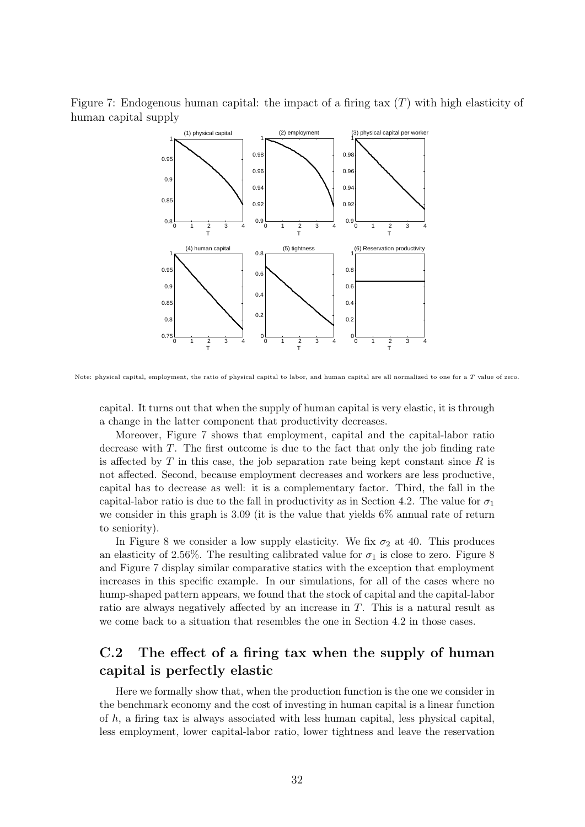Figure 7: Endogenous human capital: the impact of a firing tax  $(T)$  with high elasticity of human capital supply



Note: physical capital, employment, the ratio of physical capital to labor, and human capital are all normalized to one for a T value of zero.

capital. It turns out that when the supply of human capital is very elastic, it is through a change in the latter component that productivity decreases.

Moreover, Figure 7 shows that employment, capital and the capital-labor ratio decrease with  $T$ . The first outcome is due to the fact that only the job finding rate is affected by  $T$  in this case, the job separation rate being kept constant since  $R$  is not affected. Second, because employment decreases and workers are less productive, capital has to decrease as well: it is a complementary factor. Third, the fall in the capital-labor ratio is due to the fall in productivity as in Section 4.2. The value for  $\sigma_1$ we consider in this graph is 3.09 (it is the value that yields 6% annual rate of return to seniority).

In Figure 8 we consider a low supply elasticity. We fix  $\sigma_2$  at 40. This produces an elasticity of 2.56%. The resulting calibrated value for  $\sigma_1$  is close to zero. Figure 8 and Figure 7 display similar comparative statics with the exception that employment increases in this specific example. In our simulations, for all of the cases where no hump-shaped pattern appears, we found that the stock of capital and the capital-labor ratio are always negatively affected by an increase in T. This is a natural result as we come back to a situation that resembles the one in Section 4.2 in those cases.

### C.2 The effect of a firing tax when the supply of human capital is perfectly elastic

Here we formally show that, when the production function is the one we consider in the benchmark economy and the cost of investing in human capital is a linear function of  $h$ , a firing tax is always associated with less human capital, less physical capital, less employment, lower capital-labor ratio, lower tightness and leave the reservation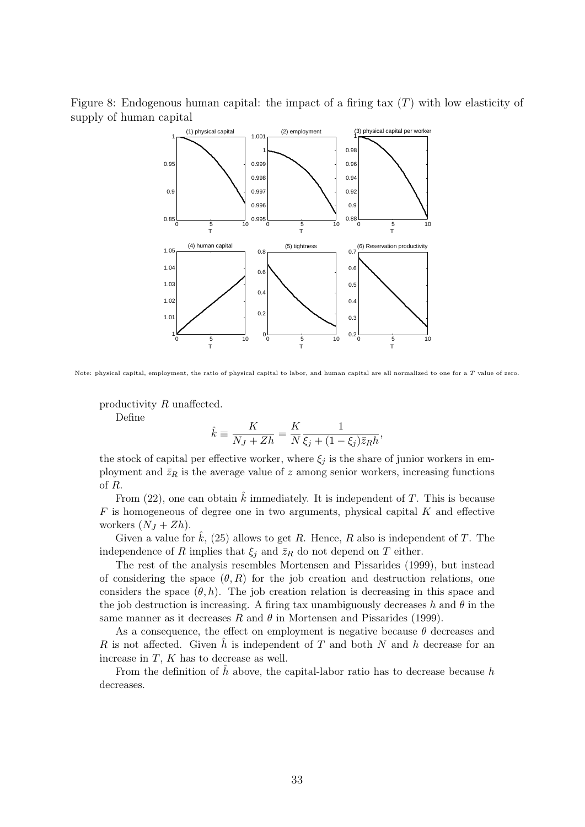Figure 8: Endogenous human capital: the impact of a firing tax  $(T)$  with low elasticity of supply of human capital



Note: physical capital, employment, the ratio of physical capital to labor, and human capital are all normalized to one for a T value of zero.

productivity R unaffected.

Define

$$
\hat{k} \equiv \frac{K}{N_J + Zh} = \frac{K}{N} \frac{1}{\xi_j + (1 - \xi_j) \bar{z}_R h},
$$

the stock of capital per effective worker, where  $\xi_i$  is the share of junior workers in employment and  $\bar{z}_R$  is the average value of z among senior workers, increasing functions of R.

From (22), one can obtain  $\hat{k}$  immediately. It is independent of T. This is because  $F$  is homogeneous of degree one in two arguments, physical capital  $K$  and effective workers  $(N_J + Zh)$ .

Given a value for  $\hat{k}$ , (25) allows to get R. Hence, R also is independent of T. The independence of R implies that  $\xi_j$  and  $\overline{z}_R$  do not depend on T either.

The rest of the analysis resembles Mortensen and Pissarides (1999), but instead of considering the space  $(\theta, R)$  for the job creation and destruction relations, one considers the space  $(\theta, h)$ . The job creation relation is decreasing in this space and the job destruction is increasing. A firing tax unambiguously decreases h and  $\theta$  in the same manner as it decreases R and  $\theta$  in Mortensen and Pissarides (1999).

As a consequence, the effect on employment is negative because  $\theta$  decreases and R is not affected. Given  $\hat{h}$  is independent of T and both N and h decrease for an increase in  $T$ ,  $K$  has to decrease as well.

From the definition of  $\hat{h}$  above, the capital-labor ratio has to decrease because h decreases.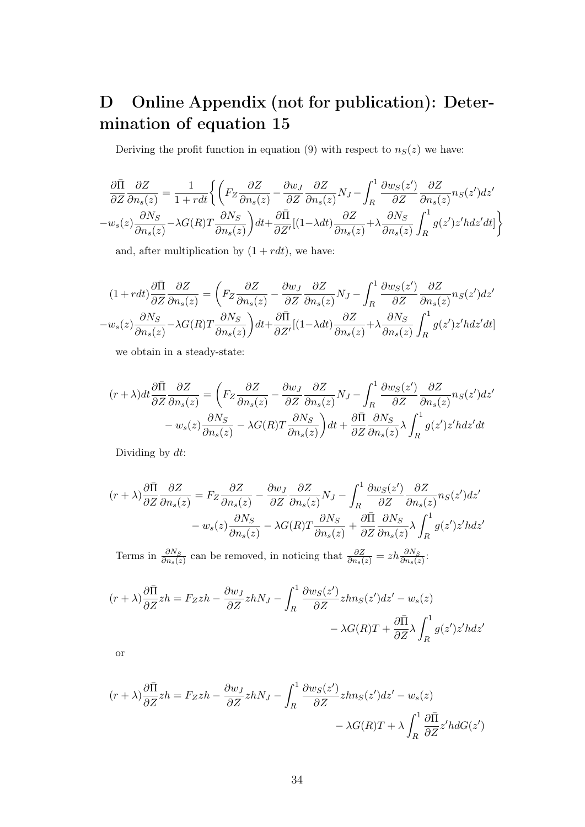# D Online Appendix (not for publication): Determination of equation 15

Deriving the profit function in equation (9) with respect to  $n<sub>S</sub>(z)$  we have:

$$
\frac{\partial \bar{\Pi}}{\partial Z} \frac{\partial Z}{\partial n_s(z)} = \frac{1}{1 + r dt} \left\{ \left( F_Z \frac{\partial Z}{\partial n_s(z)} - \frac{\partial w_J}{\partial Z} \frac{\partial Z}{\partial n_s(z)} N_J - \int_R^1 \frac{\partial w_S(z')}{\partial Z} \frac{\partial Z}{\partial n_s(z)} n_S(z') dz' - w_s(z) \frac{\partial N_S}{\partial n_s(z)} - \lambda G(R) T \frac{\partial N_S}{\partial n_s(z)} \right) dt + \frac{\partial \bar{\Pi}}{\partial Z'} [(1 - \lambda dt) \frac{\partial Z}{\partial n_s(z)} + \lambda \frac{\partial N_S}{\partial n_s(z)} \int_R^1 g(z') z' h dz' dt] \right\}
$$

and, after multiplication by  $(1 + rdt)$ , we have:

$$
(1 + rdt)\frac{\partial \bar{\Pi}}{\partial Z}\frac{\partial Z}{\partial n_s(z)} = \left(F_Z \frac{\partial Z}{\partial n_s(z)} - \frac{\partial w_J}{\partial Z} \frac{\partial Z}{\partial n_s(z)} N_J - \int_R^1 \frac{\partial w_S(z')}{\partial Z} \frac{\partial Z}{\partial n_s(z)} n_S(z')dz' - w_s(z)\frac{\partial N_S}{\partial n_s(z)} - \lambda G(R)T \frac{\partial N_S}{\partial n_s(z)}\right)dt + \frac{\partial \bar{\Pi}}{\partial Z'}[(1 - \lambda dt)\frac{\partial Z}{\partial n_s(z)} + \lambda \frac{\partial N_S}{\partial n_s(z)} \int_R^1 g(z')z' h dz' dt]
$$

we obtain in a steady-state:

$$
(r+\lambda)dt\frac{\partial \bar{\Pi}}{\partial Z}\frac{\partial Z}{\partial n_s(z)} = \left(F_Z\frac{\partial Z}{\partial n_s(z)} - \frac{\partial w_J}{\partial Z}\frac{\partial Z}{\partial n_s(z)}N_J - \int_R^1 \frac{\partial w_S(z')}{\partial Z}\frac{\partial Z}{\partial n_s(z)}n_S(z')dz'\right.- w_s(z)\frac{\partial N_S}{\partial n_s(z)} - \lambda G(R)T\frac{\partial N_S}{\partial n_s(z)}\right)dt + \frac{\partial \bar{\Pi}}{\partial Z}\frac{\partial N_S}{\partial n_s(z)}\lambda \int_R^1 g(z')z' h dz' dt
$$

Dividing by dt:

$$
(r+\lambda)\frac{\partial \bar{\Pi}}{\partial Z}\frac{\partial Z}{\partial n_s(z)} = F_Z \frac{\partial Z}{\partial n_s(z)} - \frac{\partial w_J}{\partial Z}\frac{\partial Z}{\partial n_s(z)}N_J - \int_R^1 \frac{\partial w_S(z')}{\partial Z}\frac{\partial Z}{\partial n_s(z)}n_S(z')dz' - w_s(z)\frac{\partial N_S}{\partial n_s(z)} - \lambda G(R)T\frac{\partial N_S}{\partial n_s(z)} + \frac{\partial \bar{\Pi}}{\partial Z}\frac{\partial N_S}{\partial n_s(z)}\lambda \int_R^1 g(z')z' h dz'
$$

Terms in  $\frac{\partial N_S}{\partial n_s(z)}$  can be removed, in noticing that  $\frac{\partial Z}{\partial n_s(z)} = zh \frac{\partial N_S}{\partial n_s(z)}$ :

$$
(r + \lambda) \frac{\partial \bar{\Pi}}{\partial Z} zh = F_Zzh - \frac{\partial w_J}{\partial Z} zhN_J - \int_R^1 \frac{\partial w_S(z')}{\partial Z} zhn_S(z')dz' - w_s(z) - \lambda G(R)T + \frac{\partial \bar{\Pi}}{\partial Z} \lambda \int_R^1 g(z')z' h dz'
$$

or

$$
(r + \lambda)\frac{\partial \bar{\Pi}}{\partial Z}zh = F_Zzh - \frac{\partial w_J}{\partial Z}zhN_J - \int_R^1 \frac{\partial w_S(z')}{\partial Z}zhn_S(z')dz' - w_s(z) - \lambda G(R)T + \lambda \int_R^1 \frac{\partial \bar{\Pi}}{\partial Z}z'hdG(z')
$$